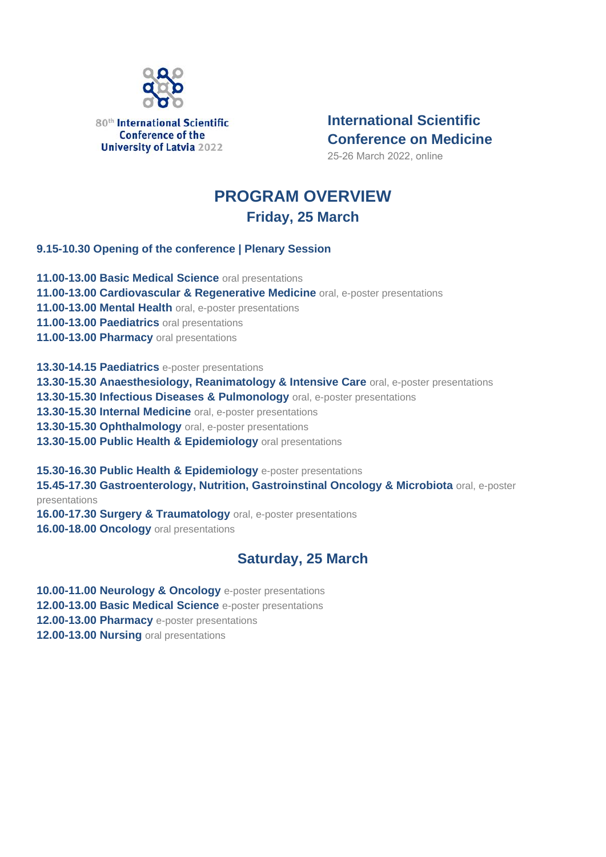

**International Scientific Conference on Medicine** 25-26 March 2022, online

**PROGRAM OVERVIEW Friday, 25 March**

**9.15-10.30 Opening of the conference | Plenary Session**

**11.00-13.00 Basic Medical Science** oral presentations

- **11.00-13.00 Cardiovascular & Regenerative Medicine** oral, e-poster presentations
- **11.00-13.00 Mental Health** oral, e-poster presentations
- **11.00-13.00 Paediatrics** oral presentations
- **11.00-13.00 Pharmacy** oral presentations

**13.30-14.15 Paediatrics** e-poster presentations **13.30-15.30 Anaesthesiology, Reanimatology & Intensive Care** oral, e-poster presentations **13.30-15.30 Infectious Diseases & Pulmonology** oral, e-poster presentations **13.30-15.30 Internal Medicine** oral, e-poster presentations **13.30-15.30 Ophthalmology** oral, e-poster presentations **13.30-15.00 Public Health & Epidemiology** oral presentations

**15.30-16.30 Public Health & Epidemiology** e-poster presentations **15.45-17.30 Gastroenterology, Nutrition, Gastroinstinal Oncology & Microbiota** oral, e-poster presentations

**16.00-17.30 Surgery & Traumatology** oral, e-poster presentations **16.00-18.00 Oncology** oral presentations

### **Saturday, 25 March**

**10.00-11.00 Neurology & Oncology** e-poster presentations **12.00-13.00 Basic Medical Science** e-poster presentations **12.00-13.00 Pharmacy** e-poster presentations **12.00-13.00 Nursing** oral presentations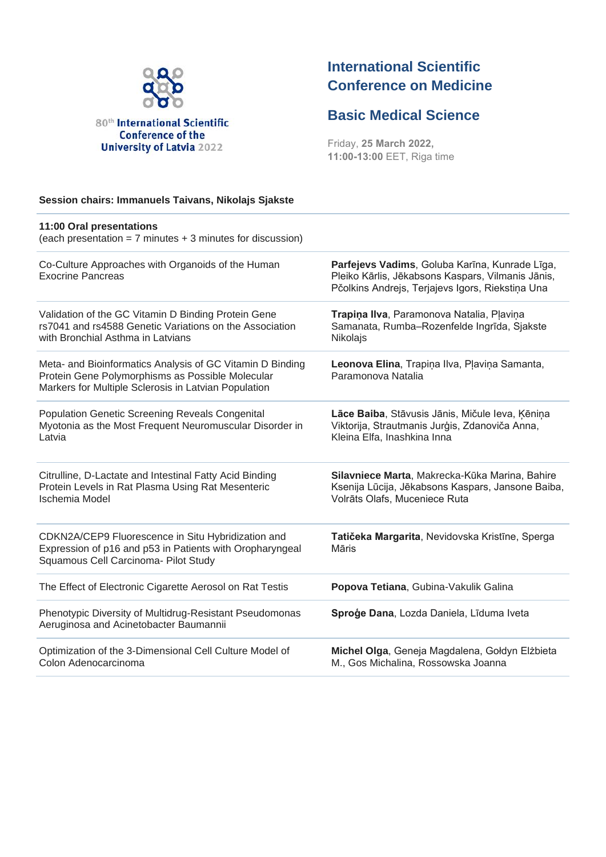

### **Basic Medical Science**

Friday, **25 March 2022, 11:00-13:00** EET, Riga time

#### **Session chairs: Immanuels Taivans, Nikolajs Sjakste**

| 11:00 Oral presentations<br>(each presentation = $7$ minutes + 3 minutes for discussion)                                                                              |                                                                                                                                                         |
|-----------------------------------------------------------------------------------------------------------------------------------------------------------------------|---------------------------------------------------------------------------------------------------------------------------------------------------------|
| Co-Culture Approaches with Organoids of the Human<br><b>Exocrine Pancreas</b>                                                                                         | Parfejevs Vadims, Goluba Karīna, Kunrade Līga,<br>Pleiko Kārlis, Jēkabsons Kaspars, Vilmanis Jānis,<br>Pčolkins Andrejs, Terjajevs Igors, Riekstiņa Una |
| Validation of the GC Vitamin D Binding Protein Gene<br>rs7041 and rs4588 Genetic Variations on the Association<br>with Bronchial Asthma in Latvians                   | Trapiņa IIva, Paramonova Natalia, Pļaviņa<br>Samanata, Rumba-Rozenfelde Ingrīda, Sjakste<br>Nikolajs                                                    |
| Meta- and Bioinformatics Analysis of GC Vitamin D Binding<br>Protein Gene Polymorphisms as Possible Molecular<br>Markers for Multiple Sclerosis in Latvian Population | Leonova Elina, Trapina Ilva, Plavina Samanta,<br>Paramonova Natalia                                                                                     |
| <b>Population Genetic Screening Reveals Congenital</b><br>Myotonia as the Most Frequent Neuromuscular Disorder in<br>Latvia                                           | Lāce Baiba, Stāvusis Jānis, Mičule Ieva, Ķēniņa<br>Viktorija, Strautmanis Jurģis, Zdanoviča Anna,<br>Kleina Elfa, Inashkina Inna                        |
| Citrulline, D-Lactate and Intestinal Fatty Acid Binding<br>Protein Levels in Rat Plasma Using Rat Mesenteric<br><b>Ischemia Model</b>                                 | Silavniece Marta, Makrecka-Kūka Marina, Bahire<br>Ksenija Lūcija, Jēkabsons Kaspars, Jansone Baiba,<br>Volrāts Olafs, Muceniece Ruta                    |
| CDKN2A/CEP9 Fluorescence in Situ Hybridization and<br>Expression of p16 and p53 in Patients with Oropharyngeal<br>Squamous Cell Carcinoma- Pilot Study                | Tatičeka Margarita, Nevidovska Kristīne, Sperga<br>Māris                                                                                                |
| The Effect of Electronic Cigarette Aerosol on Rat Testis                                                                                                              | Popova Tetiana, Gubina-Vakulik Galina                                                                                                                   |
| Phenotypic Diversity of Multidrug-Resistant Pseudomonas<br>Aeruginosa and Acinetobacter Baumannii                                                                     | Sproģe Dana, Lozda Daniela, Līduma Iveta                                                                                                                |
| Optimization of the 3-Dimensional Cell Culture Model of<br>Colon Adenocarcinoma                                                                                       | Michel Olga, Geneja Magdalena, Gołdyn Elżbieta<br>M., Gos Michalina, Rossowska Joanna                                                                   |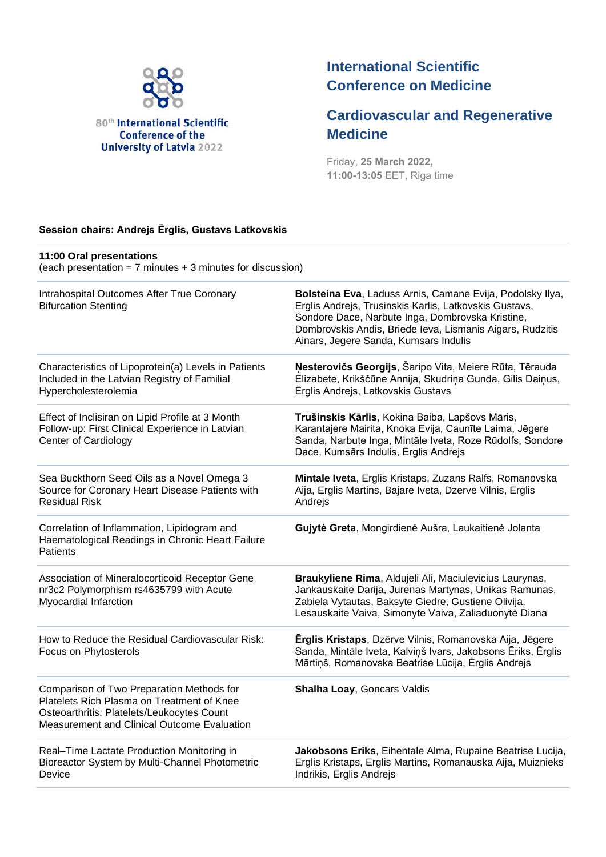

### **Cardiovascular and Regenerative Medicine**

Friday, **25 March 2022, 11:00-13:05** EET, Riga time

#### **Session chairs: Andrejs Ērglis, Gustavs Latkovskis**

| 11:00 Oral presentations<br>(each presentation = $7$ minutes + 3 minutes for discussion)                                                                                                    |                                                                                                                                                                                                                                                                               |  |
|---------------------------------------------------------------------------------------------------------------------------------------------------------------------------------------------|-------------------------------------------------------------------------------------------------------------------------------------------------------------------------------------------------------------------------------------------------------------------------------|--|
| Intrahospital Outcomes After True Coronary<br><b>Bifurcation Stenting</b>                                                                                                                   | Bolsteina Eva, Laduss Arnis, Camane Evija, Podolsky Ilya,<br>Erglis Andrejs, Trusinskis Karlis, Latkovskis Gustavs,<br>Sondore Dace, Narbute Inga, Dombrovska Kristine,<br>Dombrovskis Andis, Briede Ieva, Lismanis Aigars, Rudzitis<br>Ainars, Jegere Sanda, Kumsars Indulis |  |
| Characteristics of Lipoprotein(a) Levels in Patients<br>Included in the Latvian Registry of Familial<br>Hypercholesterolemia                                                                | Nesterovičs Georgijs, Šaripo Vita, Meiere Rūta, Tērauda<br>Elizabete, Krikščūne Annija, Skudriņa Gunda, Gilis Daiņus,<br>Ērglis Andrejs, Latkovskis Gustavs                                                                                                                   |  |
| Effect of Inclisiran on Lipid Profile at 3 Month<br>Follow-up: First Clinical Experience in Latvian<br>Center of Cardiology                                                                 | Trušinskis Kārlis, Kokina Baiba, Lapšovs Māris,<br>Karantajere Mairita, Knoka Evija, Caunīte Laima, Jēgere<br>Sanda, Narbute Inga, Mintāle Iveta, Roze Rūdolfs, Sondore<br>Dace, Kumsārs Indulis, Ērglis Andrejs                                                              |  |
| Sea Buckthorn Seed Oils as a Novel Omega 3<br>Source for Coronary Heart Disease Patients with<br><b>Residual Risk</b>                                                                       | Mintale Iveta, Erglis Kristaps, Zuzans Ralfs, Romanovska<br>Aija, Erglis Martins, Bajare Iveta, Dzerve Vilnis, Erglis<br>Andrejs                                                                                                                                              |  |
| Correlation of Inflammation, Lipidogram and<br>Haematological Readings in Chronic Heart Failure<br>Patients                                                                                 | Gujytė Greta, Mongirdienė Aušra, Laukaitienė Jolanta                                                                                                                                                                                                                          |  |
| Association of Mineralocorticoid Receptor Gene<br>nr3c2 Polymorphism rs4635799 with Acute<br>Myocardial Infarction                                                                          | Braukyliene Rima, Aldujeli Ali, Maciulevicius Laurynas,<br>Jankauskaite Darija, Jurenas Martynas, Unikas Ramunas,<br>Zabiela Vytautas, Baksyte Giedre, Gustiene Olivija,<br>Lesauskaite Vaiva, Simonyte Vaiva, Zaliaduonytė Diana                                             |  |
| How to Reduce the Residual Cardiovascular Risk:<br>Focus on Phytosterols                                                                                                                    | <b>Ērglis Kristaps</b> , Dzērve Vilnis, Romanovska Aija, Jēgere<br>Sanda, Mintāle Iveta, Kalviņš Ivars, Jakobsons Ēriks, Ērglis<br>Mārtiņš, Romanovska Beatrise Lūcija, Ērglis Andrejs                                                                                        |  |
| Comparison of Two Preparation Methods for<br>Platelets Rich Plasma on Treatment of Knee<br>Osteoarthritis: Platelets/Leukocytes Count<br><b>Measurement and Clinical Outcome Evaluation</b> | Shalha Loay, Goncars Valdis                                                                                                                                                                                                                                                   |  |
| Real-Time Lactate Production Monitoring in<br>Bioreactor System by Multi-Channel Photometric<br>Device                                                                                      | Jakobsons Eriks, Eihentale Alma, Rupaine Beatrise Lucija,<br>Erglis Kristaps, Erglis Martins, Romanauska Aija, Muiznieks<br>Indrikis, Erglis Andrejs                                                                                                                          |  |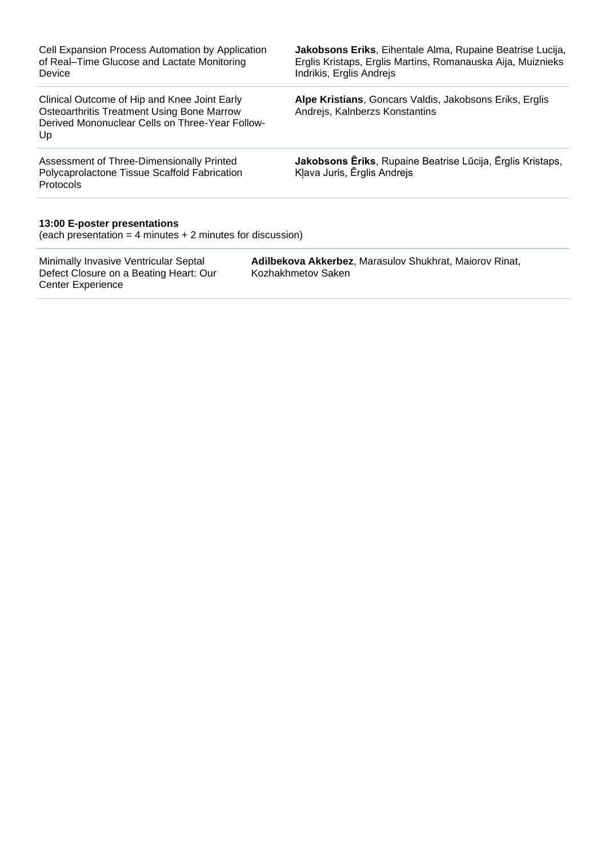Cell Expansion Process Automation by Application of Real–Time Glucose and Lactate Monitoring Device

Clinical Outcome of Hip and Knee Joint Early Osteoarthritis Treatment Using Bone Marrow Derived Mononuclear Cells on Three-Year Follow-Up

Assessment of Three-Dimensionally Printed Polycaprolactone Tissue Scaffold Fabrication Protocols

**Jakobsons Eriks**, Eihentale Alma, Rupaine Beatrise Lucija, Erglis Kristaps, Erglis Martins, Romanauska Aija, Muiznieks Indrikis, Erglis Andrejs

**Alpe Kristians**, Goncars Valdis, Jakobsons Eriks, Erglis Andrejs, Kalnberzs Konstantins

**Jakobsons Ēriks**, Rupaine Beatrise Lūcija, Ērglis Kristaps, Kļava Juris, Ērglis Andrejs

#### **13:00 E-poster presentations**

(each presentation  $= 4$  minutes  $+ 2$  minutes for discussion)

Minimally Invasive Ventricular Septal Defect Closure on a Beating Heart: Our Center Experience

**Adilbekova Akkerbez**, Marasulov Shukhrat, Maiorov Rinat, Kozhakhmetov Saken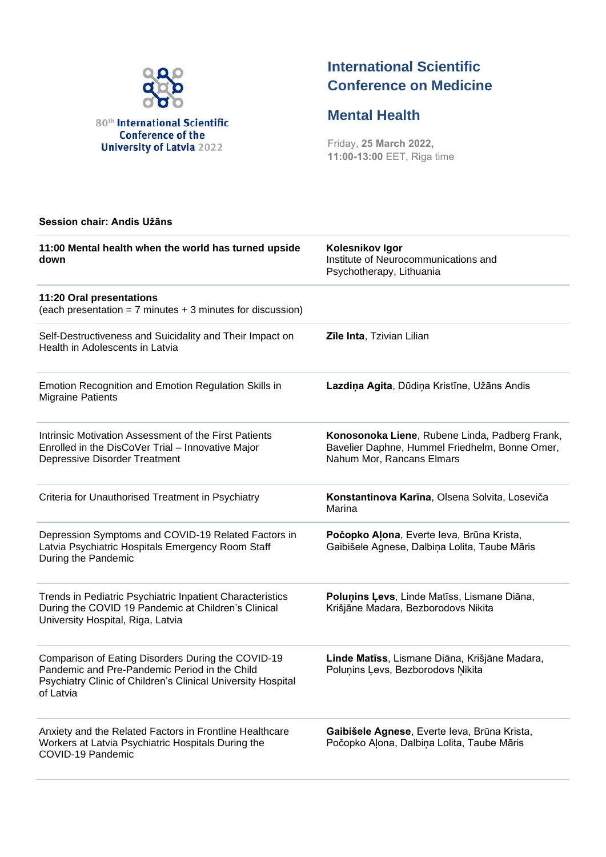

### **Mental Health**

Friday, **25 March 2022, 11:00-13:00** EET, Riga time

#### **Session chair: Andis Užāns**

| 11:00 Mental health when the world has turned upside<br>down                                                                                                                     | Kolesnikov Igor<br>Institute of Neurocommunications and<br>Psychotherapy, Lithuania                                           |
|----------------------------------------------------------------------------------------------------------------------------------------------------------------------------------|-------------------------------------------------------------------------------------------------------------------------------|
| 11:20 Oral presentations<br>(each presentation = $7$ minutes + $3$ minutes for discussion)                                                                                       |                                                                                                                               |
| Self-Destructiveness and Suicidality and Their Impact on<br>Health in Adolescents in Latvia                                                                                      | Zīle Inta, Tzivian Lilian                                                                                                     |
| Emotion Recognition and Emotion Regulation Skills in<br><b>Migraine Patients</b>                                                                                                 | Lazdiņa Agita, Dūdiņa Kristīne, Užāns Andis                                                                                   |
| Intrinsic Motivation Assessment of the First Patients<br>Enrolled in the DisCoVer Trial - Innovative Major<br>Depressive Disorder Treatment                                      | Konosonoka Liene, Rubene Linda, Padberg Frank,<br>Bavelier Daphne, Hummel Friedhelm, Bonne Omer,<br>Nahum Mor, Rancans Elmars |
| Criteria for Unauthorised Treatment in Psychiatry                                                                                                                                | Konstantinova Karīna, Olsena Solvita, Loseviča<br>Marina                                                                      |
| Depression Symptoms and COVID-19 Related Factors in<br>Latvia Psychiatric Hospitals Emergency Room Staff<br>During the Pandemic                                                  | Počopko Alona, Everte leva, Brūna Krista,<br>Gaibišele Agnese, Dalbiņa Lolita, Taube Māris                                    |
| Trends in Pediatric Psychiatric Inpatient Characteristics<br>During the COVID 19 Pandemic at Children's Clinical<br>University Hospital, Riga, Latvia                            | Poluņins Ļevs, Linde Matīss, Lismane Diāna,<br>Krišjāne Madara, Bezborodovs Nikita                                            |
| Comparison of Eating Disorders During the COVID-19<br>Pandemic and Pre-Pandemic Period in the Child<br>Psychiatry Clinic of Children's Clinical University Hospital<br>of Latvia | Linde Matīss, Lismane Diāna, Krišjāne Madara,<br>Polunins Levs, Bezborodovs Nikita                                            |
| Anxiety and the Related Factors in Frontline Healthcare<br>Workers at Latvia Psychiatric Hospitals During the<br>COVID-19 Pandemic                                               | Gaibišele Agnese, Everte leva, Brūna Krista,<br>Počopko Alona, Dalbiņa Lolita, Taube Māris                                    |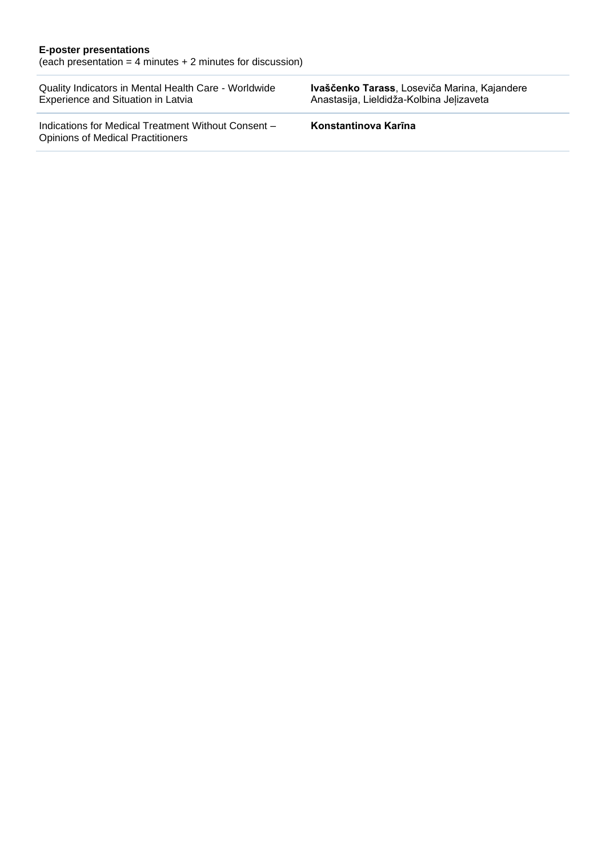#### **E-poster presentations**

(each presentation  $= 4$  minutes  $+ 2$  minutes for discussion)

Quality Indicators in Mental Health Care - Worldwide Experience and Situation in Latvia **Ivaščenko Tarass**, Loseviča Marina, Kajandere Anastasija, Lieldidža-Kolbina Jeļizaveta Indications for Medical Treatment Without Consent – Opinions of Medical Practitioners **Konstantinova Karīna**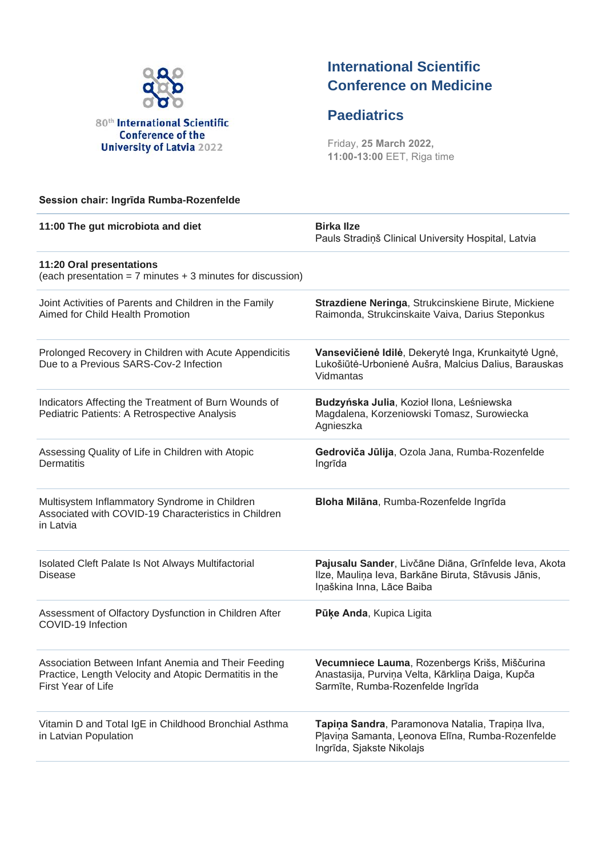

**Session chair: Ingrīda Rumba-Rozenfelde**

### **International Scientific Conference on Medicine**

### **Paediatrics**

Friday, **25 March 2022, 11:00-13:00** EET, Riga time

#### **11:00 The gut microbiota and diet <b>Birka Ilze Birka Ilze** Pauls Stradiņš Clinical University Hospital, Latvia **11:20 Oral presentations** (each presentation  $= 7$  minutes  $+ 3$  minutes for discussion) Joint Activities of Parents and Children in the Family Aimed for Child Health Promotion **Strazdiene Neringa**, Strukcinskiene Birute, Mickiene Raimonda, Strukcinskaite Vaiva, Darius Steponkus Prolonged Recovery in Children with Acute Appendicitis Due to a Previous SARS-Cov-2 Infection **Vansevičienė Idilė**, Dekerytė Inga, Krunkaitytė Ugnė, Lukošiūtė-Urbonienė Aušra, Malcius Dalius, Barauskas Vidmantas Indicators Affecting the Treatment of Burn Wounds of Pediatric Patients: A Retrospective Analysis **Budzyńska Julia**, Kozioł Ilona, Leśniewska Magdalena, Korzeniowski Tomasz, Surowiecka Agnieszka Assessing Quality of Life in Children with Atopic **Dermatitis Gedroviča Jūlija**, Ozola Jana, Rumba-Rozenfelde Ingrīda Multisystem Inflammatory Syndrome in Children Associated with COVID-19 Characteristics in Children in Latvia **Bloha Milāna**, Rumba-Rozenfelde Ingrīda Isolated Cleft Palate Is Not Always Multifactorial Disease **Pajusalu Sander**, Livčāne Diāna, Grīnfelde Ieva, Akota Ilze, Mauliņa Ieva, Barkāne Biruta, Stāvusis Jānis, Iņaškina Inna, Lāce Baiba Assessment of Olfactory Dysfunction in Children After COVID-19 Infection **Pūķe Anda**, Kupica Ligita Association Between Infant Anemia and Their Feeding Practice, Length Velocity and Atopic Dermatitis in the First Year of Life **Vecumniece Lauma**, Rozenbergs Krišs, Miščurina Anastasija, Purviņa Velta, Kārkliņa Daiga, Kupča Sarmīte, Rumba-Rozenfelde Ingrīda Vitamin D and Total IgE in Childhood Bronchial Asthma in Latvian Population **Tapiņa Sandra**, Paramonova Natalia, Trapiņa Ilva, Pļaviņa Samanta, Ļeonova Elīna, Rumba-Rozenfelde Ingrīda, Sjakste Nikolajs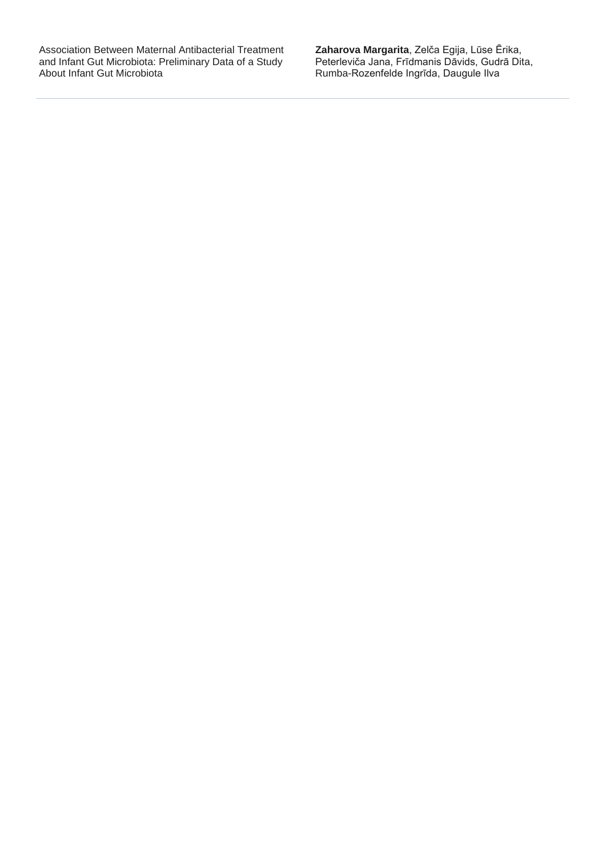Association Between Maternal Antibacterial Treatment and Infant Gut Microbiota: Preliminary Data of a Study About Infant Gut Microbiota

**Zaharova Margarita**, Zelča Egija, Lūse Ērika, Peterleviča Jana, Frīdmanis Dāvids, Gudrā Dita, Rumba-Rozenfelde Ingrīda, Daugule Ilva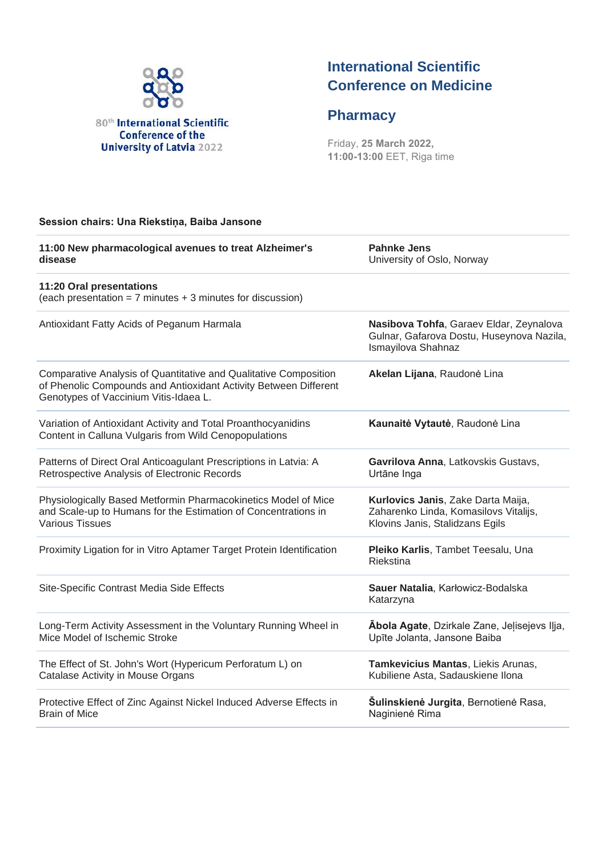

**Session chairs: Una Riekstiņa, Baiba Jansone**

# **International Scientific Conference on Medicine**

### **Pharmacy**

Friday, **25 March 2022, 11:00-13:00** EET, Riga time

| 11:00 New pharmacological avenues to treat Alzheimer's<br>disease                                                                                                             | <b>Pahnke Jens</b><br>University of Oslo, Norway                                                               |
|-------------------------------------------------------------------------------------------------------------------------------------------------------------------------------|----------------------------------------------------------------------------------------------------------------|
| 11:20 Oral presentations<br>(each presentation = $7$ minutes + $3$ minutes for discussion)                                                                                    |                                                                                                                |
| Antioxidant Fatty Acids of Peganum Harmala                                                                                                                                    | Nasibova Tohfa, Garaev Eldar, Zeynalova<br>Gulnar, Gafarova Dostu, Huseynova Nazila,<br>Ismayilova Shahnaz     |
| Comparative Analysis of Quantitative and Qualitative Composition<br>of Phenolic Compounds and Antioxidant Activity Between Different<br>Genotypes of Vaccinium Vitis-Idaea L. | Akelan Lijana, Raudonė Lina                                                                                    |
| Variation of Antioxidant Activity and Total Proanthocyanidins<br>Content in Calluna Vulgaris from Wild Cenopopulations                                                        | Kaunaitė Vytautė, Raudonė Lina                                                                                 |
| Patterns of Direct Oral Anticoagulant Prescriptions in Latvia: A<br>Retrospective Analysis of Electronic Records                                                              | Gavrilova Anna, Latkovskis Gustavs,<br>Urtāne Inga                                                             |
| Physiologically Based Metformin Pharmacokinetics Model of Mice<br>and Scale-up to Humans for the Estimation of Concentrations in<br><b>Various Tissues</b>                    | Kurlovics Janis, Zake Darta Maija,<br>Zaharenko Linda, Komasilovs Vitalijs,<br>Klovins Janis, Stalidzans Egils |
| Proximity Ligation for in Vitro Aptamer Target Protein Identification                                                                                                         | Pleiko Karlis, Tambet Teesalu, Una<br>Riekstina                                                                |
| Site-Specific Contrast Media Side Effects                                                                                                                                     | Sauer Natalia, Karłowicz-Bodalska<br>Katarzyna                                                                 |
| Long-Term Activity Assessment in the Voluntary Running Wheel in<br>Mice Model of Ischemic Stroke                                                                              | Abola Agate, Dzirkale Zane, Jelisejevs Ilja,<br>Upīte Jolanta, Jansone Baiba                                   |
| The Effect of St. John's Wort (Hypericum Perforatum L) on<br>Catalase Activity in Mouse Organs                                                                                | Tamkevicius Mantas, Liekis Arunas,<br>Kubiliene Asta, Sadauskiene Ilona                                        |
| Protective Effect of Zinc Against Nickel Induced Adverse Effects in<br><b>Brain of Mice</b>                                                                                   | Sulinskienė Jurgita, Bernotienė Rasa,<br>Naginienė Rima                                                        |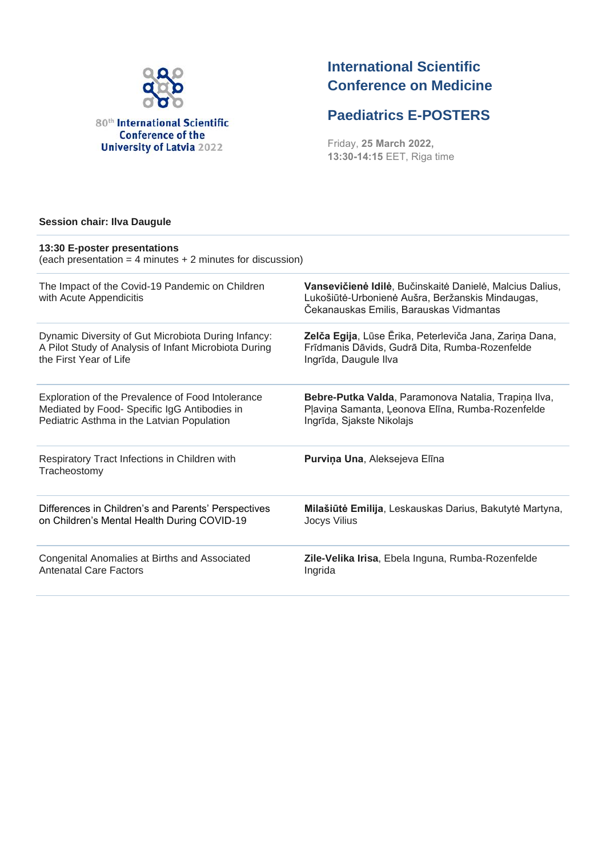

### **Paediatrics E-POSTERS**

Friday, **25 March 2022, 13:30-14:15** EET, Riga time

#### **Session chair: Ilva Daugule**

| 13:30 E-poster presentations<br>(each presentation = $4$ minutes + $2$ minutes for discussion) |                                                                                                                                                         |  |
|------------------------------------------------------------------------------------------------|---------------------------------------------------------------------------------------------------------------------------------------------------------|--|
| The Impact of the Covid-19 Pandemic on Children<br>with Acute Appendicitis                     | Vansevičienė Idilė, Bučinskaitė Danielė, Malcius Dalius,<br>Lukošiūtė-Urbonienė Aušra, Beržanskis Mindaugas,<br>Čekanauskas Emilis, Barauskas Vidmantas |  |
| Dynamic Diversity of Gut Microbiota During Infancy:                                            | Zelča Egija, Lūse Ērika, Peterleviča Jana, Zariņa Dana,                                                                                                 |  |
| A Pilot Study of Analysis of Infant Microbiota During                                          | Frīdmanis Dāvids, Gudrā Dita, Rumba-Rozenfelde                                                                                                          |  |
| the First Year of Life                                                                         | Ingrīda, Daugule Ilva                                                                                                                                   |  |
| Exploration of the Prevalence of Food Intolerance                                              | Bebre-Putka Valda, Paramonova Natalia, Trapina Ilva,                                                                                                    |  |
| Mediated by Food- Specific IgG Antibodies in                                                   | Plavina Samanta, Leonova Elina, Rumba-Rozenfelde                                                                                                        |  |
| Pediatric Asthma in the Latvian Population                                                     | Ingrīda, Sjakste Nikolajs                                                                                                                               |  |
| Respiratory Tract Infections in Children with<br>Tracheostomy                                  | Purviņa Una, Aleksejeva Elīna                                                                                                                           |  |
| Differences in Children's and Parents' Perspectives                                            | Milašiūtė Emilija, Leskauskas Darius, Bakutytė Martyna,                                                                                                 |  |
| on Children's Mental Health During COVID-19                                                    | <b>Jocys Vilius</b>                                                                                                                                     |  |
| Congenital Anomalies at Births and Associated                                                  | Zile-Velika Irisa, Ebela Inguna, Rumba-Rozenfelde                                                                                                       |  |
| Antenatal Care Factors                                                                         | Ingrida                                                                                                                                                 |  |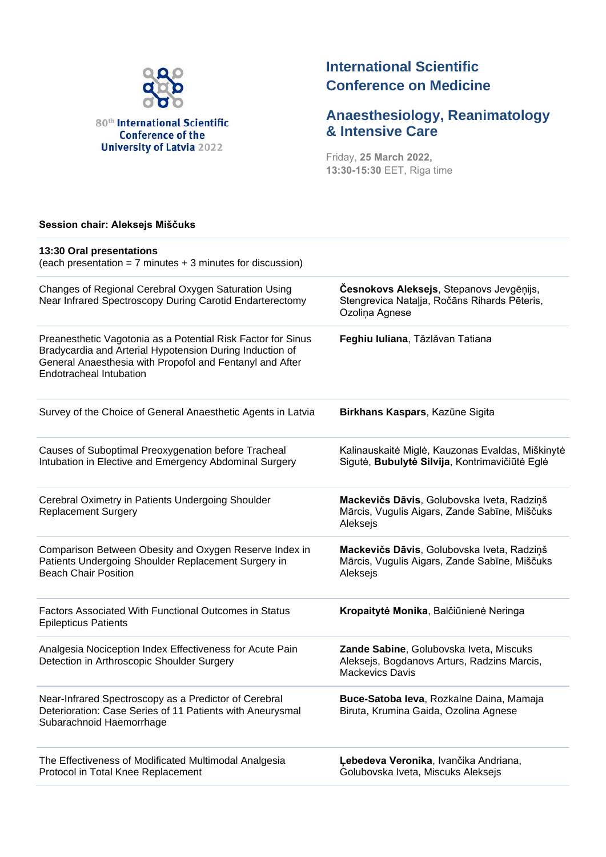

### **Anaesthesiology, Reanimatology & Intensive Care**

Friday, **25 March 2022, 13:30-15:30** EET, Riga time

#### **Session chair: Aleksejs Miščuks**

| 13:30 Oral presentations<br>(each presentation = $7$ minutes + $3$ minutes for discussion)                                                                                                                             |                                                                                                                  |  |
|------------------------------------------------------------------------------------------------------------------------------------------------------------------------------------------------------------------------|------------------------------------------------------------------------------------------------------------------|--|
| Changes of Regional Cerebral Oxygen Saturation Using<br>Near Infrared Spectroscopy During Carotid Endarterectomy                                                                                                       | Cesnokovs Aleksejs, Stepanovs Jevgēņijs,<br>Stengrevica Natalja, Ročāns Rihards Pēteris,<br>Ozoliņa Agnese       |  |
| Preanesthetic Vagotonia as a Potential Risk Factor for Sinus<br>Bradycardia and Arterial Hypotension During Induction of<br>General Anaesthesia with Propofol and Fentanyl and After<br><b>Endotracheal Intubation</b> | Feghiu Iuliana, Tăzlăvan Tatiana                                                                                 |  |
| Survey of the Choice of General Anaesthetic Agents in Latvia                                                                                                                                                           | Birkhans Kaspars, Kazūne Sigita                                                                                  |  |
| Causes of Suboptimal Preoxygenation before Tracheal<br>Intubation in Elective and Emergency Abdominal Surgery                                                                                                          | Kalinauskaitė Miglė, Kauzonas Evaldas, Miškinytė<br>Sigutė, Bubulytė Silvija, Kontrimavičiūtė Eglė               |  |
| Cerebral Oximetry in Patients Undergoing Shoulder<br><b>Replacement Surgery</b>                                                                                                                                        | Mackevičs Dāvis, Golubovska Iveta, Radziņš<br>Mārcis, Vugulis Aigars, Zande Sabīne, Miščuks<br>Aleksejs          |  |
| Comparison Between Obesity and Oxygen Reserve Index in<br>Patients Undergoing Shoulder Replacement Surgery in<br><b>Beach Chair Position</b>                                                                           | Mackevičs Dāvis, Golubovska Iveta, Radziņš<br>Mārcis, Vugulis Aigars, Zande Sabīne, Miščuks<br>Aleksejs          |  |
| <b>Factors Associated With Functional Outcomes in Status</b><br><b>Epilepticus Patients</b>                                                                                                                            | Kropaitytė Monika, Balčiūnienė Neringa                                                                           |  |
| Analgesia Nociception Index Effectiveness for Acute Pain<br>Detection in Arthroscopic Shoulder Surgery                                                                                                                 | Zande Sabine, Golubovska Iveta, Miscuks<br>Aleksejs, Bogdanovs Arturs, Radzins Marcis,<br><b>Mackevics Davis</b> |  |
| Near-Infrared Spectroscopy as a Predictor of Cerebral<br>Deterioration: Case Series of 11 Patients with Aneurysmal<br>Subarachnoid Haemorrhage                                                                         | Buce-Satoba Ieva, Rozkalne Daina, Mamaja<br>Biruta, Krumina Gaida, Ozolina Agnese                                |  |
| The Effectiveness of Modificated Multimodal Analgesia<br>Protocol in Total Knee Replacement                                                                                                                            | Ļebedeva Veronika, Ivančika Andriana,<br>Golubovska Iveta, Miscuks Aleksejs                                      |  |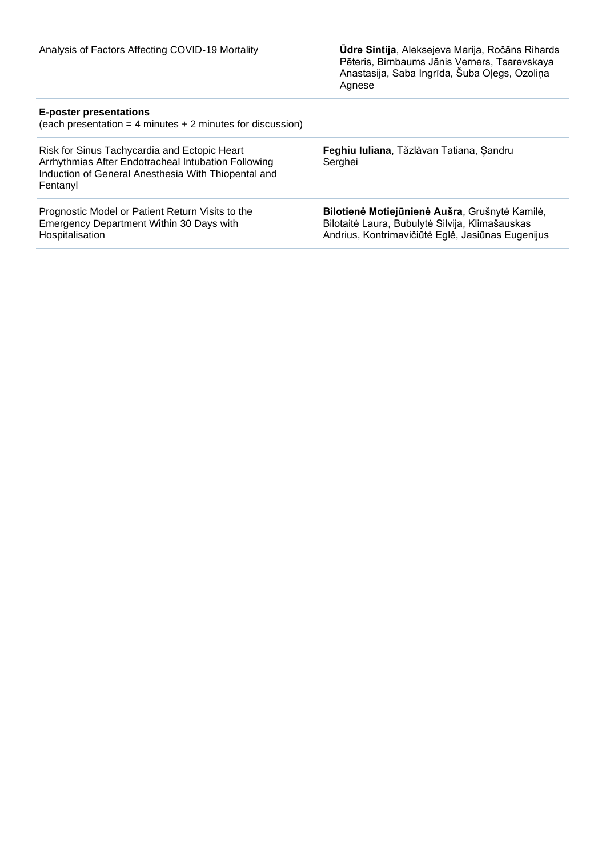#### **E-poster presentations** (each presentation = 4 minutes + 2 minutes for discussion) Risk for Sinus Tachycardia and Ectopic Heart Arrhythmias After Endotracheal Intubation Following Induction of General Anesthesia With Thiopental and Fentanyl **Feghiu Iuliana**, Tăzlăvan Tatiana, Șandru Serghei Prognostic Model or Patient Return Visits to the Emergency Department Within 30 Days with Hospitalisation **Bilotienė Motiejūnienė Aušra**, Grušnytė Kamilė, Bilotaitė Laura, Bubulytė Silvija, Klimašauskas Andrius, Kontrimavičiūtė Eglė, Jasiūnas Eugenijus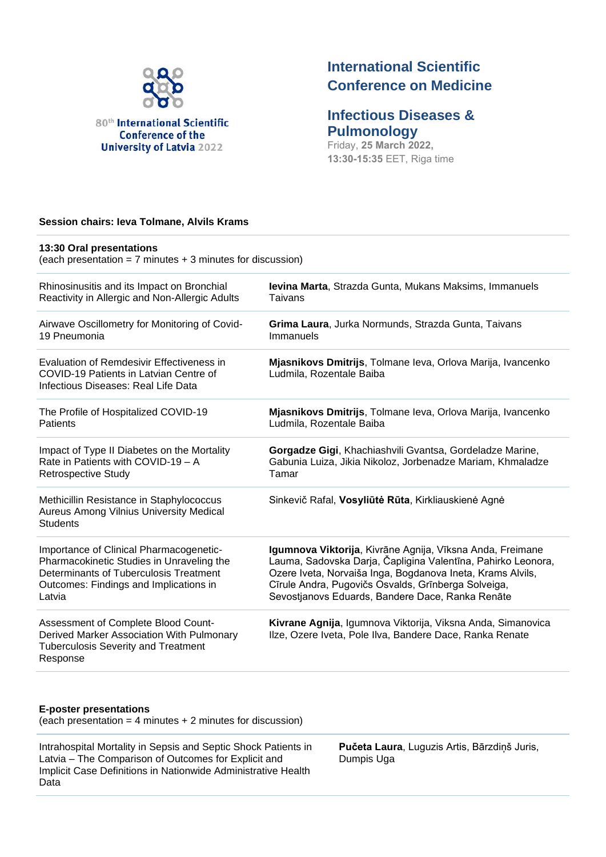

### **Infectious Diseases & Pulmonology**

Friday, **25 March 2022, 13:30-15:35** EET, Riga time

#### **Session chairs: Ieva Tolmane, Alvils Krams**

#### **13:30 Oral presentations**

(each presentation  $= 7$  minutes  $+ 3$  minutes for discussion)

| Rhinosinusitis and its Impact on Bronchial                                                                                                 | <b>levina Marta, Strazda Gunta, Mukans Maksims, Immanuels</b>                                                           |
|--------------------------------------------------------------------------------------------------------------------------------------------|-------------------------------------------------------------------------------------------------------------------------|
| Reactivity in Allergic and Non-Allergic Adults                                                                                             | Taivans                                                                                                                 |
| Airwave Oscillometry for Monitoring of Covid-                                                                                              | Grima Laura, Jurka Normunds, Strazda Gunta, Taivans                                                                     |
| 19 Pneumonia                                                                                                                               | Immanuels                                                                                                               |
| Evaluation of Remdesivir Effectiveness in<br>COVID-19 Patients in Latvian Centre of<br>Infectious Diseases: Real Life Data                 | Mjasnikovs Dmitrijs, Tolmane leva, Orlova Marija, Ivancenko<br>Ludmila, Rozentale Baiba                                 |
| The Profile of Hospitalized COVID-19                                                                                                       | Mjasnikovs Dmitrijs, Tolmane Ieva, Orlova Marija, Ivancenko                                                             |
| Patients                                                                                                                                   | Ludmila, Rozentale Baiba                                                                                                |
| Impact of Type II Diabetes on the Mortality                                                                                                | Gorgadze Gigi, Khachiashvili Gvantsa, Gordeladze Marine,                                                                |
| Rate in Patients with COVID-19 - A                                                                                                         | Gabunia Luiza, Jikia Nikoloz, Jorbenadze Mariam, Khmaladze                                                              |
| <b>Retrospective Study</b>                                                                                                                 | Tamar                                                                                                                   |
| Methicillin Resistance in Staphylococcus<br><b>Aureus Among Vilnius University Medical</b><br><b>Students</b>                              | Sinkevič Rafal, Vosyliūtė Rūta, Kirkliauskienė Agnė                                                                     |
| Importance of Clinical Pharmacogenetic-                                                                                                    | Igumnova Viktorija, Kivrāne Agnija, Vīksna Anda, Freimane                                                               |
| Pharmacokinetic Studies in Unraveling the                                                                                                  | Lauma, Sadovska Darja, Čapligina Valentīna, Pahirko Leonora,                                                            |
| Determinants of Tuberculosis Treatment                                                                                                     | Ozere Iveta, Norvaiša Inga, Bogdanova Ineta, Krams Alvils,                                                              |
| Outcomes: Findings and Implications in                                                                                                     | Cīrule Andra, Pugovičs Osvalds, Grīnberga Solveiga,                                                                     |
| Latvia                                                                                                                                     | Sevostjanovs Eduards, Bandere Dace, Ranka Renāte                                                                        |
| Assessment of Complete Blood Count-<br>Derived Marker Association With Pulmonary<br><b>Tuberculosis Severity and Treatment</b><br>Response | Kivrane Agnija, Igumnova Viktorija, Viksna Anda, Simanovica<br>Ilze, Ozere Iveta, Pole Ilva, Bandere Dace, Ranka Renate |

#### **E-poster presentations**

(each presentation = 4 minutes  $+ 2$  minutes for discussion)

Intrahospital Mortality in Sepsis and Septic Shock Patients in Latvia – The Comparison of Outcomes for Explicit and Implicit Case Definitions in Nationwide Administrative Health Data

**Pučeta Laura**, Luguzis Artis, Bārzdiņš Juris, Dumpis Uga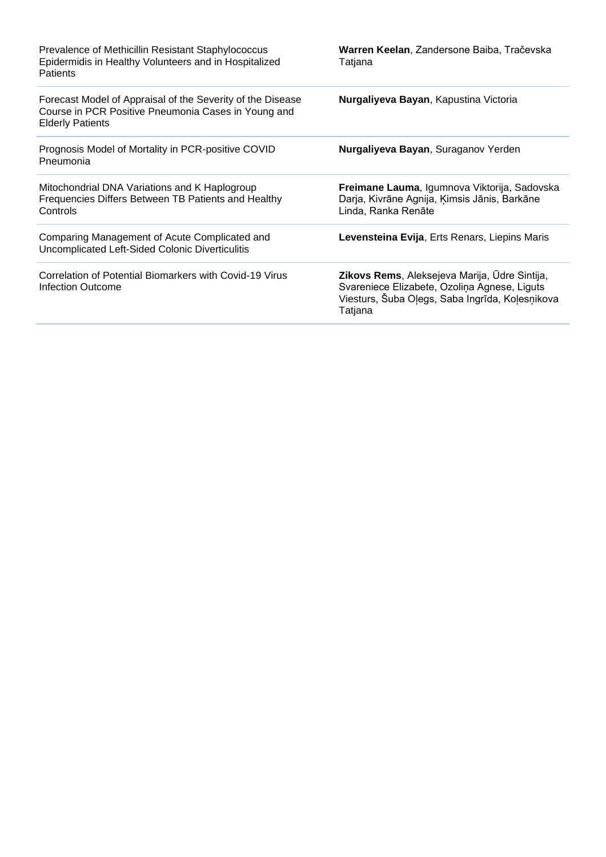| Prevalence of Methicillin Resistant Staphylococcus<br>Epidermidis in Healthy Volunteers and in Hospitalized<br><b>Patients</b>               | Warren Keelan, Zandersone Baiba, Tračevska<br>Tatjana                                                                                                       |
|----------------------------------------------------------------------------------------------------------------------------------------------|-------------------------------------------------------------------------------------------------------------------------------------------------------------|
| Forecast Model of Appraisal of the Severity of the Disease<br>Course in PCR Positive Pneumonia Cases in Young and<br><b>Elderly Patients</b> | <b>Nurgaliyeva Bayan, Kapustina Victoria</b>                                                                                                                |
| Prognosis Model of Mortality in PCR-positive COVID<br>Pneumonia                                                                              | Nurgaliyeva Bayan, Suraganov Yerden                                                                                                                         |
| Mitochondrial DNA Variations and K Haplogroup<br>Frequencies Differs Between TB Patients and Healthy<br>Controls                             | Freimane Lauma, Igumnova Viktorija, Sadovska<br>Darja, Kivrāne Agnija, Ķimsis Jānis, Barkāne<br>Linda, Ranka Renāte                                         |
| Comparing Management of Acute Complicated and<br>Uncomplicated Left-Sided Colonic Diverticulitis                                             | Levensteina Evija, Erts Renars, Liepins Maris                                                                                                               |
| Correlation of Potential Biomarkers with Covid-19 Virus<br>Infection Outcome                                                                 | Zikovs Rems, Aleksejeva Marija, Ūdre Sintija,<br>Svareniece Elizabete, Ozolina Agnese, Liguts<br>Viesturs, Šuba Olegs, Saba Ingrīda, Kolesnikova<br>Tatjana |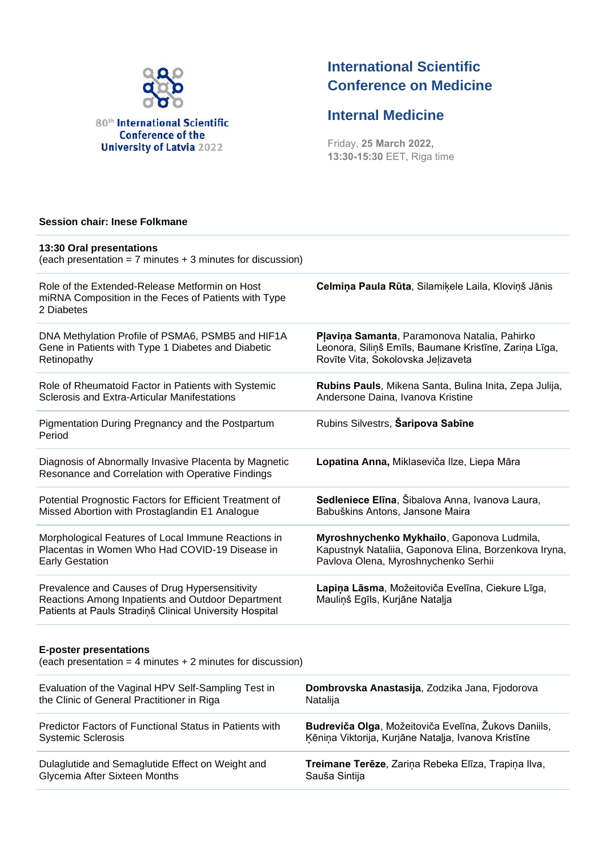

### **Internal Medicine**

Friday, **25 March 2022, 13:30-15:30** EET, Riga time

#### **Session chair: Inese Folkmane**

| 13:30 Oral presentations<br>(each presentation = $7$ minutes + $3$ minutes for discussion)                                                                     |                                                                                    |
|----------------------------------------------------------------------------------------------------------------------------------------------------------------|------------------------------------------------------------------------------------|
| Role of the Extended-Release Metformin on Host<br>miRNA Composition in the Feces of Patients with Type<br>2 Diabetes                                           | Celmiņa Paula Rūta, Silamiķele Laila, Kloviņš Jānis                                |
| DNA Methylation Profile of PSMA6, PSMB5 and HIF1A                                                                                                              | Plaviņa Samanta, Paramonova Natalia, Pahirko                                       |
| Gene in Patients with Type 1 Diabetes and Diabetic                                                                                                             | Leonora, Siliņš Emīls, Baumane Kristīne, Zariņa Līga,                              |
| Retinopathy                                                                                                                                                    | Rovīte Vita, Sokolovska Jelizaveta                                                 |
| Role of Rheumatoid Factor in Patients with Systemic                                                                                                            | Rubins Pauls, Mikena Santa, Bulina Inita, Zepa Julija,                             |
| Sclerosis and Extra-Articular Manifestations                                                                                                                   | Andersone Daina, Ivanova Kristine                                                  |
| Pigmentation During Pregnancy and the Postpartum<br>Period                                                                                                     | Rubins Silvestrs, Šaripova Sabīne                                                  |
| Diagnosis of Abnormally Invasive Placenta by Magnetic<br>Resonance and Correlation with Operative Findings                                                     | Lopatina Anna, Miklaseviča Ilze, Liepa Māra                                        |
| Potential Prognostic Factors for Efficient Treatment of                                                                                                        | Sedleniece Elina, Šibalova Anna, Ivanova Laura,                                    |
| Missed Abortion with Prostaglandin E1 Analogue                                                                                                                 | Babuškins Antons, Jansone Maira                                                    |
| Morphological Features of Local Immune Reactions in                                                                                                            | Myroshnychenko Mykhailo, Gaponova Ludmila,                                         |
| Placentas in Women Who Had COVID-19 Disease in                                                                                                                 | Kapustnyk Nataliia, Gaponova Elina, Borzenkova Iryna,                              |
| <b>Early Gestation</b>                                                                                                                                         | Pavlova Olena, Myroshnychenko Serhii                                               |
| Prevalence and Causes of Drug Hypersensitivity<br>Reactions Among Inpatients and Outdoor Department<br>Patients at Pauls Stradiņš Clinical University Hospital | Lapiņa Lāsma, Možeitoviča Evelīna, Ciekure Līga,<br>Mauliņš Egīls, Kurjāne Nataļja |
| <b>E-poster presentations</b><br>(each presentation = $4$ minutes + $2$ minutes for discussion)                                                                |                                                                                    |
| Evaluation of the Vaginal HPV Self-Sampling Test in                                                                                                            | Dombrovska Anastasija, Zodzika Jana, Fjodorova                                     |
| the Clinic of General Practitioner in Riga                                                                                                                     | Natalija                                                                           |
| Predictor Factors of Functional Status in Patients with                                                                                                        | Budreviča Olga, Možeitoviča Evelīna, Žukovs Daniils,                               |
| <b>Systemic Sclerosis</b>                                                                                                                                      | Ķēniņa Viktorija, Kurjāne Natalja, Ivanova Kristīne                                |
| Dulaglutide and Semaglutide Effect on Weight and                                                                                                               | Treimane Terēze, Zariņa Rebeka Elīza, Trapiņa Ilva,                                |
| Glycemia After Sixteen Months                                                                                                                                  | Sauša Sintija                                                                      |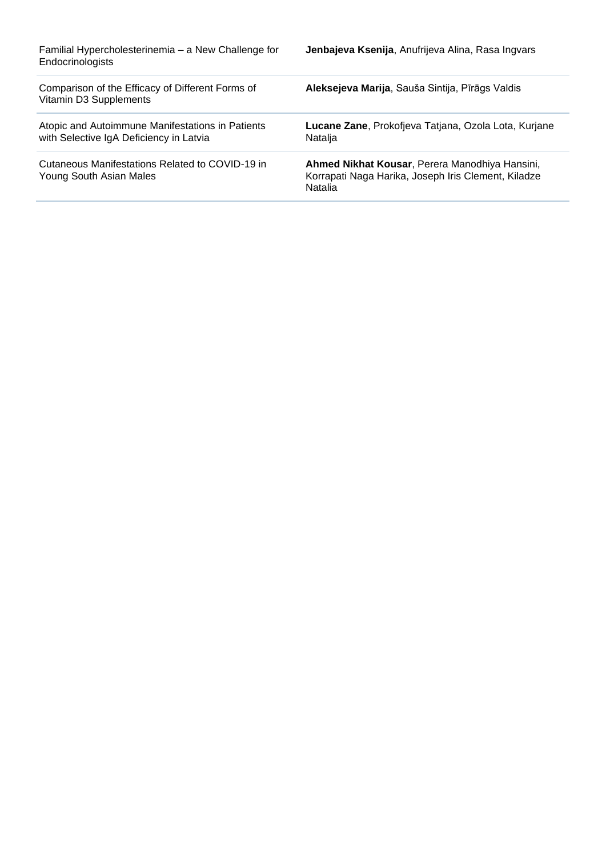Familial Hypercholesterinemia – a New Challenge for Endocrinologists

| Comparison of the Efficacy of Different Forms of<br>Vitamin D3 Supplements                  | Aleksejeva Marija, Sauša Sintija, Pīrāgs Valdis                                                                  |
|---------------------------------------------------------------------------------------------|------------------------------------------------------------------------------------------------------------------|
| Atopic and Autoimmune Manifestations in Patients<br>with Selective IgA Deficiency in Latvia | Lucane Zane, Prokofjeva Tatjana, Ozola Lota, Kurjane<br>Natalja                                                  |
| Cutaneous Manifestations Related to COVID-19 in<br>Young South Asian Males                  | Ahmed Nikhat Kousar, Perera Manodhiya Hansini,<br>Korrapati Naga Harika, Joseph Iris Clement, Kiladze<br>Natalia |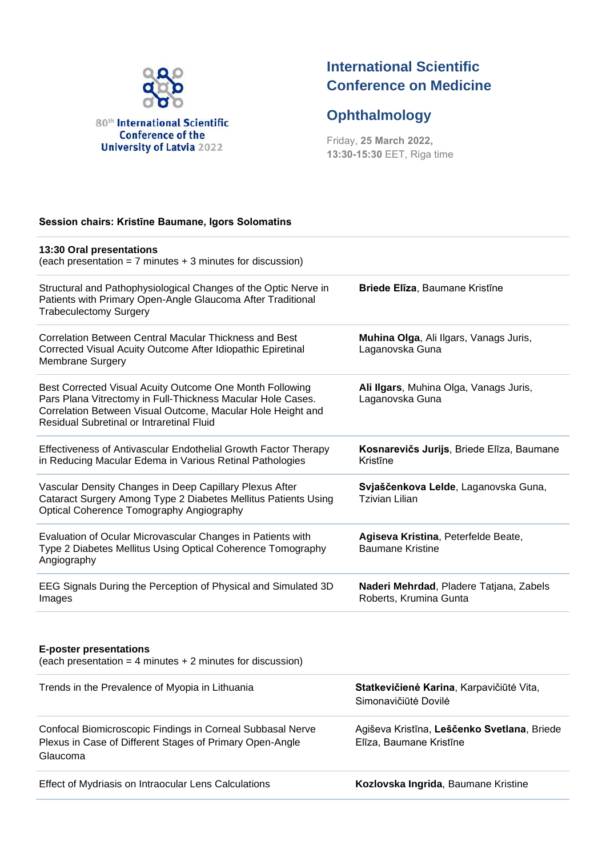

### **Ophthalmology**

Friday, **25 March 2022, 13:30-15:30** EET, Riga time

#### **Session chairs: Kristīne Baumane, Igors Solomatins**

| 13:30 Oral presentations<br>(each presentation = $7$ minutes + $3$ minutes for discussion)                                                                                                                                                 |                                                                   |
|--------------------------------------------------------------------------------------------------------------------------------------------------------------------------------------------------------------------------------------------|-------------------------------------------------------------------|
| Structural and Pathophysiological Changes of the Optic Nerve in<br>Patients with Primary Open-Angle Glaucoma After Traditional<br><b>Trabeculectomy Surgery</b>                                                                            | <b>Briede Eliza, Baumane Kristine</b>                             |
| Correlation Between Central Macular Thickness and Best<br>Corrected Visual Acuity Outcome After Idiopathic Epiretinal<br><b>Membrane Surgery</b>                                                                                           | Muhina Olga, Ali Ilgars, Vanags Juris,<br>Laganovska Guna         |
| Best Corrected Visual Acuity Outcome One Month Following<br>Pars Plana Vitrectomy in Full-Thickness Macular Hole Cases.<br>Correlation Between Visual Outcome, Macular Hole Height and<br><b>Residual Subretinal or Intraretinal Fluid</b> | Ali Ilgars, Muhina Olga, Vanags Juris,<br>Laganovska Guna         |
| Effectiveness of Antivascular Endothelial Growth Factor Therapy<br>in Reducing Macular Edema in Various Retinal Pathologies                                                                                                                | Kosnarevičs Jurijs, Briede Elīza, Baumane<br>Kristīne             |
| Vascular Density Changes in Deep Capillary Plexus After<br>Cataract Surgery Among Type 2 Diabetes Mellitus Patients Using<br>Optical Coherence Tomography Angiography                                                                      | Svjaščenkova Lelde, Laganovska Guna,<br><b>Tzivian Lilian</b>     |
| Evaluation of Ocular Microvascular Changes in Patients with<br>Type 2 Diabetes Mellitus Using Optical Coherence Tomography<br>Angiography                                                                                                  | Agiseva Kristina, Peterfelde Beate,<br>Baumane Kristine           |
| EEG Signals During the Perception of Physical and Simulated 3D<br>Images                                                                                                                                                                   | Naderi Mehrdad, Pladere Tatjana, Zabels<br>Roberts, Krumina Gunta |

#### **E-poster presentations**

(each presentation = 4 minutes  $+ 2$  minutes for discussion)

| Trends in the Prevalence of Myopia in Lithuania                                                                                    | Statkevičienė Karina, Karpavičiūtė Vita,<br>Simonavičiūtė Dovilė       |
|------------------------------------------------------------------------------------------------------------------------------------|------------------------------------------------------------------------|
| Confocal Biomicroscopic Findings in Corneal Subbasal Nerve<br>Plexus in Case of Different Stages of Primary Open-Angle<br>Glaucoma | Agiševa Kristīna, Leščenko Svetlana, Briede<br>Elīza, Baumane Kristīne |
| Effect of Mydriasis on Intraocular Lens Calculations                                                                               | Kozlovska Ingrida, Baumane Kristine                                    |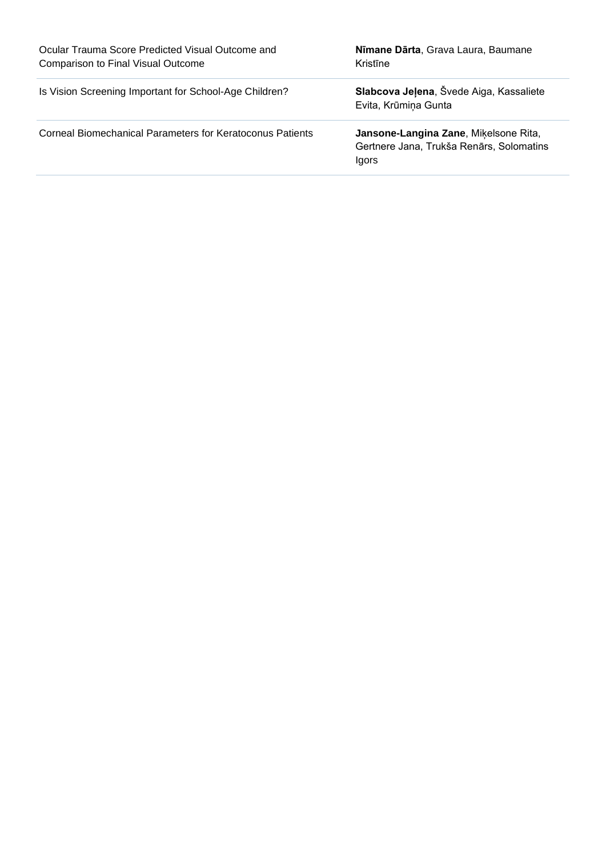| Ocular Trauma Score Predicted Visual Outcome and<br>Comparison to Final Visual Outcome | Nīmane Dārta, Grava Laura, Baumane<br>Kristīne                                             |
|----------------------------------------------------------------------------------------|--------------------------------------------------------------------------------------------|
| Is Vision Screening Important for School-Age Children?                                 | Slabcova Jelena, Švede Aiga, Kassaliete<br>Evita, Krūmiņa Gunta                            |
| Corneal Biomechanical Parameters for Keratoconus Patients                              | Jansone-Langina Zane, Mikelsone Rita,<br>Gertnere Jana, Trukša Renārs, Solomatins<br>Igors |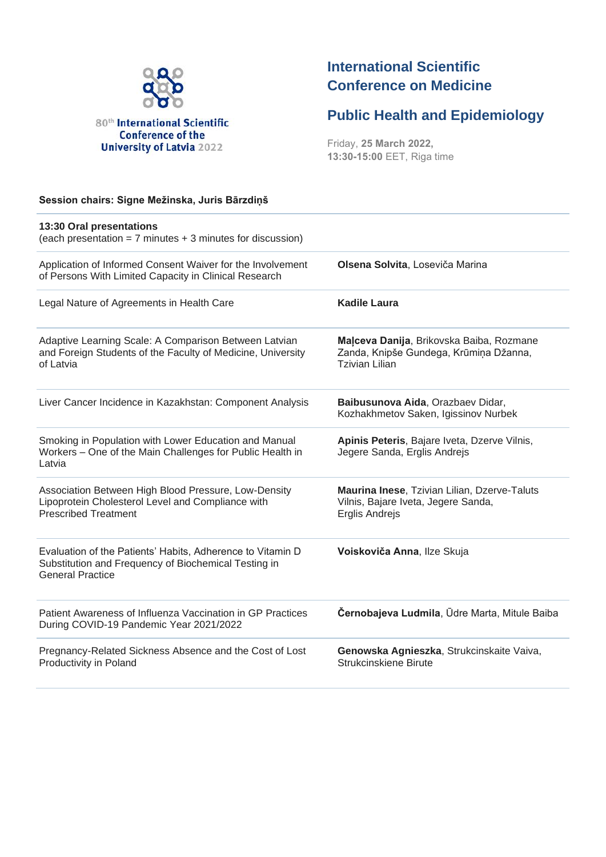

### **Public Health and Epidemiology**

Friday, **25 March 2022, 13:30-15:00** EET, Riga time

#### **13:30 Oral presentations** (each presentation  $= 7$  minutes  $+ 3$  minutes for discussion) Application of Informed Consent Waiver for the Involvement of Persons With Limited Capacity in Clinical Research **Olsena Solvita**, Loseviča Marina Legal Nature of Agreements in Health Care **Kadile Laura** Adaptive Learning Scale: A Comparison Between Latvian and Foreign Students of the Faculty of Medicine, University of Latvia **Maļceva Danija**, Brikovska Baiba, Rozmane Zanda, Knipše Gundega, Krūmiņa Džanna, Tzivian Lilian Liver Cancer Incidence in Kazakhstan: Component Analysis **Baibusunova Aida**, Orazbaev Didar, Kozhakhmetov Saken, Igissinov Nurbek Smoking in Population with Lower Education and Manual Workers – One of the Main Challenges for Public Health in Latvia **Apinis Peteris**, Bajare Iveta, Dzerve Vilnis, Jegere Sanda, Erglis Andrejs Association Between High Blood Pressure, Low-Density Lipoprotein Cholesterol Level and Compliance with Prescribed Treatment **Maurina Inese**, Tzivian Lilian, Dzerve-Taluts Vilnis, Bajare Iveta, Jegere Sanda, Erglis Andrejs Evaluation of the Patients' Habits, Adherence to Vitamin D Substitution and Frequency of Biochemical Testing in General Practice **Voiskoviča Anna**, Ilze Skuja Patient Awareness of Influenza Vaccination in GP Practices During COVID-19 Pandemic Year 2021/2022 **Černobajeva Ludmila**, Ūdre Marta, Mitule Baiba Pregnancy-Related Sickness Absence and the Cost of Lost Productivity in Poland **Genowska Agnieszka**, Strukcinskaite Vaiva, Strukcinskiene Birute

#### **Session chairs: Signe Mežinska, Juris Bārzdiņš**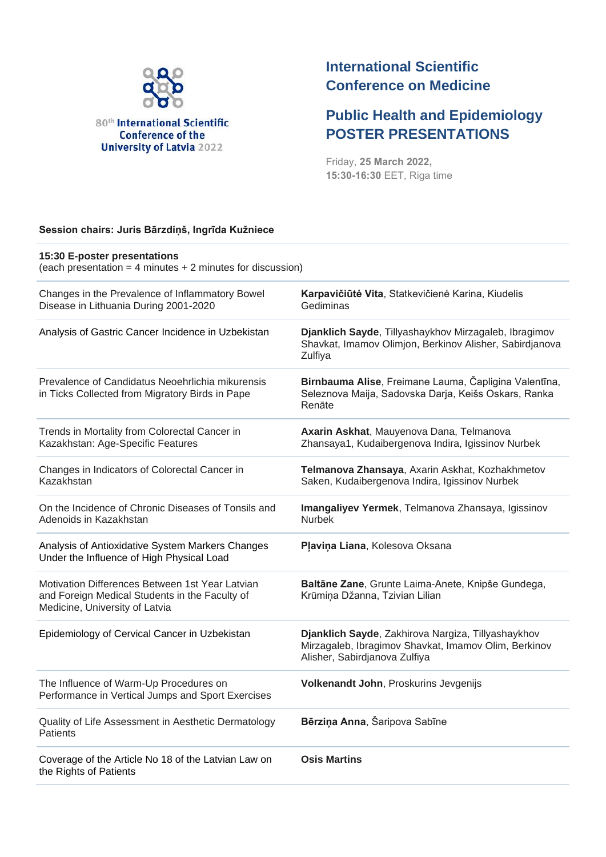

## **Public Health and Epidemiology POSTER PRESENTATIONS**

Friday, **25 March 2022, 15:30-16:30** EET, Riga time

#### **Session chairs: Juris Bārzdiņš, Ingrīda Kužniece**

| 15:30 E-poster presentations<br>(each presentation = $4$ minutes + $2$ minutes for discussion)                                      |                                                                                                                                             |
|-------------------------------------------------------------------------------------------------------------------------------------|---------------------------------------------------------------------------------------------------------------------------------------------|
| Changes in the Prevalence of Inflammatory Bowel<br>Disease in Lithuania During 2001-2020                                            | Karpavičiūtė Vita, Statkevičienė Karina, Kiudelis<br>Gediminas                                                                              |
| Analysis of Gastric Cancer Incidence in Uzbekistan                                                                                  | Djanklich Sayde, Tillyashaykhov Mirzagaleb, Ibragimov<br>Shavkat, Imamov Olimjon, Berkinov Alisher, Sabirdjanova<br>Zulfiya                 |
| Prevalence of Candidatus Neoehrlichia mikurensis<br>in Ticks Collected from Migratory Birds in Pape                                 | Birnbauma Alise, Freimane Lauma, Čapligina Valentīna,<br>Seleznova Maija, Sadovska Darja, Keišs Oskars, Ranka<br>Renāte                     |
| Trends in Mortality from Colorectal Cancer in<br>Kazakhstan: Age-Specific Features                                                  | Axarin Askhat, Mauyenova Dana, Telmanova<br>Zhansaya1, Kudaibergenova Indira, Igissinov Nurbek                                              |
| Changes in Indicators of Colorectal Cancer in<br>Kazakhstan                                                                         | Telmanova Zhansaya, Axarin Askhat, Kozhakhmetov<br>Saken, Kudaibergenova Indira, Igissinov Nurbek                                           |
| On the Incidence of Chronic Diseases of Tonsils and<br>Adenoids in Kazakhstan                                                       | Imangaliyev Yermek, Telmanova Zhansaya, Igissinov<br><b>Nurbek</b>                                                                          |
| Analysis of Antioxidative System Markers Changes<br>Under the Influence of High Physical Load                                       | Plaviņa Liana, Kolesova Oksana                                                                                                              |
| Motivation Differences Between 1st Year Latvian<br>and Foreign Medical Students in the Faculty of<br>Medicine, University of Latvia | Baltāne Zane, Grunte Laima-Anete, Knipše Gundega,<br>Krūmiņa Džanna, Tzivian Lilian                                                         |
| Epidemiology of Cervical Cancer in Uzbekistan                                                                                       | Djanklich Sayde, Zakhirova Nargiza, Tillyashaykhov<br>Mirzagaleb, Ibragimov Shavkat, Imamov Olim, Berkinov<br>Alisher, Sabirdjanova Zulfiya |
| The Influence of Warm-Up Procedures on<br>Performance in Vertical Jumps and Sport Exercises                                         | Volkenandt John, Proskurins Jevgenijs                                                                                                       |
| Quality of Life Assessment in Aesthetic Dermatology<br><b>Patients</b>                                                              | Bērziņa Anna, Šaripova Sabīne                                                                                                               |
| Coverage of the Article No 18 of the Latvian Law on<br>the Rights of Patients                                                       | <b>Osis Martins</b>                                                                                                                         |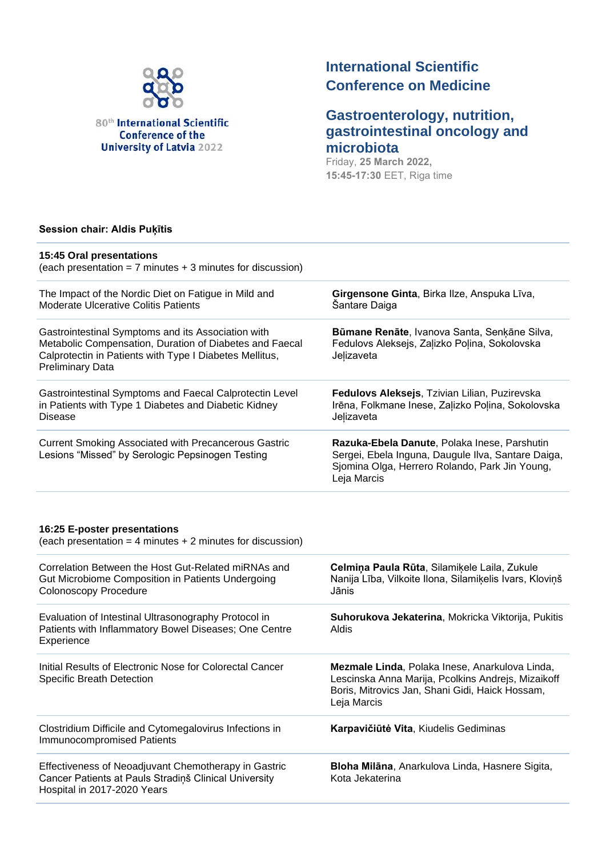

### **Gastroenterology, nutrition, gastrointestinal oncology and microbiota**

Friday, **25 March 2022, 15:45-17:30** EET, Riga time

#### **Session chair: Aldis Puķītis**

| <b>15:45 Oral presentations</b><br>(each presentation = $7$ minutes + $3$ minutes for discussion)                                                                                                   |                                                                                                                                                                            |  |
|-----------------------------------------------------------------------------------------------------------------------------------------------------------------------------------------------------|----------------------------------------------------------------------------------------------------------------------------------------------------------------------------|--|
| The Impact of the Nordic Diet on Fatigue in Mild and<br>Moderate Ulcerative Colitis Patients                                                                                                        | Girgensone Ginta, Birka Ilze, Anspuka Līva,<br>Šantare Daiga                                                                                                               |  |
| Gastrointestinal Symptoms and its Association with<br>Metabolic Compensation, Duration of Diabetes and Faecal<br>Calprotectin in Patients with Type I Diabetes Mellitus,<br><b>Preliminary Data</b> | <b>Būmane Renāte, Ivanova Santa, Senkāne Silva,</b><br>Fedulovs Aleksejs, Zalizko Polina, Sokolovska<br>Jelizaveta                                                         |  |
| Gastrointestinal Symptoms and Faecal Calprotectin Level<br>in Patients with Type 1 Diabetes and Diabetic Kidney<br>Disease                                                                          | <b>Fedulovs Aleksejs, Tzivian Lilian, Puzirevska</b><br>Irēna, Folkmane Inese, Zalizko Polina, Sokolovska<br>Jelizaveta                                                    |  |
| Current Smoking Associated with Precancerous Gastric<br>Lesions "Missed" by Serologic Pepsinogen Testing                                                                                            | <b>Razuka-Ebela Danute, Polaka Inese, Parshutin</b><br>Sergei, Ebela Inguna, Daugule Ilva, Santare Daiga,<br>Sjomina Olga, Herrero Rolando, Park Jin Young,<br>Leja Marcis |  |

#### **16:25 E-poster presentations**  $(each presentation = 4 minutes + 2 minutes for discussion)$

| Correlation Between the Host Gut-Related miRNAs and<br>Gut Microbiome Composition in Patients Undergoing<br><b>Colonoscopy Procedure</b>     | Celmina Paula Rūta, Silamiķele Laila, Zukule<br>Nanija Lība, Vilkoite Ilona, Silamiķelis Ivars, Kloviņš<br>Jānis                                                              |
|----------------------------------------------------------------------------------------------------------------------------------------------|-------------------------------------------------------------------------------------------------------------------------------------------------------------------------------|
| Evaluation of Intestinal Ultrasonography Protocol in<br>Patients with Inflammatory Bowel Diseases; One Centre<br>Experience                  | <b>Suhorukova Jekaterina, Mokricka Viktorija, Pukitis</b><br>Aldis                                                                                                            |
| Initial Results of Electronic Nose for Colorectal Cancer<br><b>Specific Breath Detection</b>                                                 | <b>Mezmale Linda, Polaka Inese, Anarkulova Linda,</b><br>Lescinska Anna Marija, Pcolkins Andrejs, Mizaikoff<br>Boris, Mitrovics Jan, Shani Gidi, Haick Hossam,<br>Leja Marcis |
| Clostridium Difficile and Cytomegalovirus Infections in<br><b>Immunocompromised Patients</b>                                                 | Karpavičiūtė Vita, Kiudelis Gediminas                                                                                                                                         |
| Effectiveness of Neoadjuvant Chemotherapy in Gastric<br>Cancer Patients at Pauls Stradins Clinical University<br>Hospital in 2017-2020 Years | Bloha Milāna, Anarkulova Linda, Hasnere Sigita,<br>Kota Jekaterina                                                                                                            |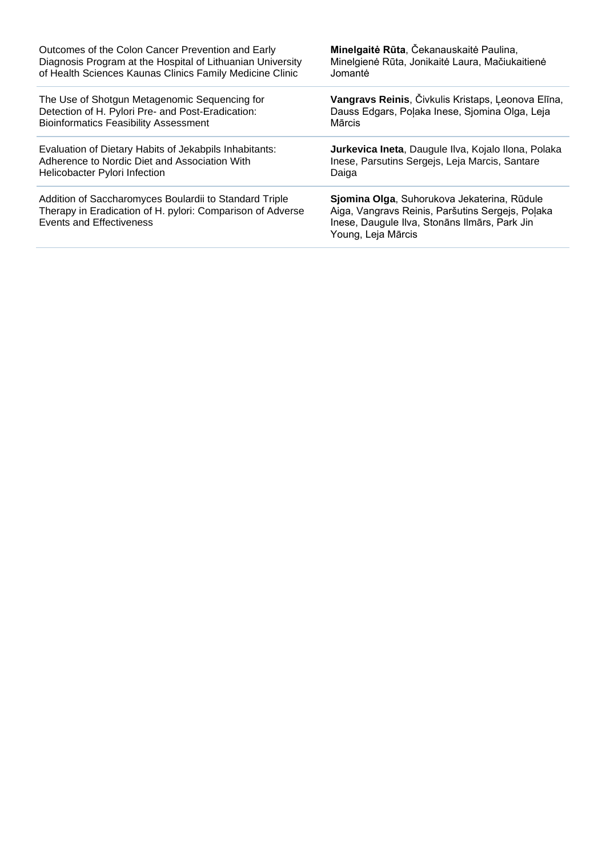| Outcomes of the Colon Cancer Prevention and Early                                                                                                | Minelgaitė Rūta, Čekanauskaitė Paulina,                                                                                                                                |
|--------------------------------------------------------------------------------------------------------------------------------------------------|------------------------------------------------------------------------------------------------------------------------------------------------------------------------|
| Diagnosis Program at the Hospital of Lithuanian University                                                                                       | Minelgienė Rūta, Jonikaitė Laura, Mačiukaitienė                                                                                                                        |
| of Health Sciences Kaunas Clinics Family Medicine Clinic                                                                                         | Jomantė                                                                                                                                                                |
| The Use of Shotgun Metagenomic Sequencing for                                                                                                    | Vangravs Reinis, Čivkulis Kristaps, Ļeonova Elīna,                                                                                                                     |
| Detection of H. Pylori Pre- and Post-Eradication:                                                                                                | Dauss Edgars, Polaka Inese, Siomina Olga, Leja                                                                                                                         |
| <b>Bioinformatics Feasibility Assessment</b>                                                                                                     | Mārcis                                                                                                                                                                 |
| Evaluation of Dietary Habits of Jekabpils Inhabitants:                                                                                           | Jurkevica Ineta, Daugule Ilva, Kojalo Ilona, Polaka                                                                                                                    |
| Adherence to Nordic Diet and Association With                                                                                                    | Inese, Parsutins Sergejs, Leja Marcis, Santare                                                                                                                         |
| Helicobacter Pylori Infection                                                                                                                    | Daiga                                                                                                                                                                  |
| Addition of Saccharomyces Boulardii to Standard Triple<br>Therapy in Eradication of H. pylori: Comparison of Adverse<br>Events and Effectiveness | Sjomina Olga, Suhorukova Jekaterina, Rūdule<br>Aiga, Vangravs Reinis, Paršutins Sergejs, Polaka<br>Inese, Daugule Ilva, Stonāns Ilmārs, Park Jin<br>Young, Leja Mārcis |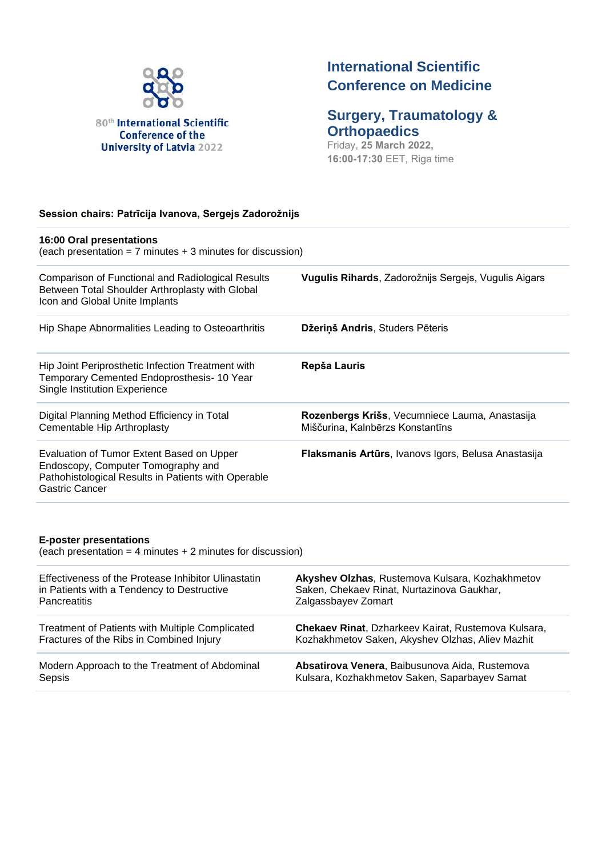

## **Surgery, Traumatology & Orthopaedics**

Friday, **25 March 2022, 16:00-17:30** EET, Riga time

#### **Session chairs: Patrīcija Ivanova, Sergejs Zadorožnijs**

| <b>16:00 Oral presentations</b><br>(each presentation = $7$ minutes + $3$ minutes for discussion)                                                               |                                                                                    |
|-----------------------------------------------------------------------------------------------------------------------------------------------------------------|------------------------------------------------------------------------------------|
| Comparison of Functional and Radiological Results<br>Between Total Shoulder Arthroplasty with Global<br>Icon and Global Unite Implants                          | Vugulis Rihards, Zadorožnijs Sergejs, Vugulis Aigars                               |
| Hip Shape Abnormalities Leading to Osteoarthritis                                                                                                               | Džeriņš Andris, Studers Pēteris                                                    |
| Hip Joint Periprosthetic Infection Treatment with<br>Temporary Cemented Endoprosthesis- 10 Year<br><b>Single Institution Experience</b>                         | Repša Lauris                                                                       |
| Digital Planning Method Efficiency in Total<br>Cementable Hip Arthroplasty                                                                                      | Rozenbergs Krišs, Vecumniece Lauma, Anastasija<br>Miščurina, Kalnbērzs Konstantīns |
| Evaluation of Tumor Extent Based on Upper<br>Endoscopy, Computer Tomography and<br>Pathohistological Results in Patients with Operable<br><b>Gastric Cancer</b> | Flaksmanis Artūrs, Ivanovs Igors, Belusa Anastasija                                |
| <b>E-poster presentations</b>                                                                                                                                   |                                                                                    |

(each presentation = 4 minutes  $+ 2$  minutes for discussion)

| Effectiveness of the Protease Inhibitor Ulinastatin    | Akyshev Olzhas, Rustemova Kulsara, Kozhakhmetov     |
|--------------------------------------------------------|-----------------------------------------------------|
| in Patients with a Tendency to Destructive             | Saken, Chekaev Rinat, Nurtazinova Gaukhar,          |
| <b>Pancreatitis</b>                                    | Zalgassbayev Zomart                                 |
| <b>Treatment of Patients with Multiple Complicated</b> | Chekaev Rinat, Dzharkeev Kairat, Rustemova Kulsara, |
| Fractures of the Ribs in Combined Injury               | Kozhakhmetov Saken, Akyshev Olzhas, Aliev Mazhit    |
| Modern Approach to the Treatment of Abdominal          | Absatirova Venera, Baibusunova Aida, Rustemova      |
| Sepsis                                                 | Kulsara, Kozhakhmetov Saken, Saparbayev Samat       |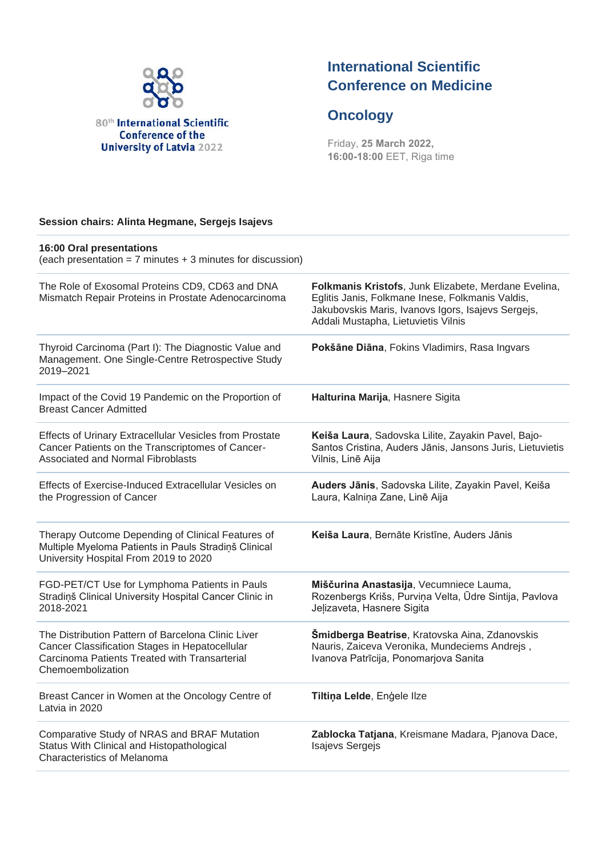

### **Oncology**

Friday, **25 March 2022, 16:00-18:00** EET, Riga time

#### **Session chairs: Alinta Hegmane, Sergejs Isajevs**

#### **16:00 Oral presentations**

(each presentation = 7 minutes + 3 minutes for discussion)

| The Role of Exosomal Proteins CD9, CD63 and DNA<br>Mismatch Repair Proteins in Prostate Adenocarcinoma                                                                     | Folkmanis Kristofs, Junk Elizabete, Merdane Evelina,<br>Eglitis Janis, Folkmane Inese, Folkmanis Valdis,<br>Jakubovskis Maris, Ivanovs Igors, Isajevs Sergejs,<br>Addali Mustapha, Lietuvietis Vilnis |
|----------------------------------------------------------------------------------------------------------------------------------------------------------------------------|-------------------------------------------------------------------------------------------------------------------------------------------------------------------------------------------------------|
| Thyroid Carcinoma (Part I): The Diagnostic Value and<br>Management. One Single-Centre Retrospective Study<br>2019-2021                                                     | Pokšāne Diāna, Fokins Vladimirs, Rasa Ingvars                                                                                                                                                         |
| Impact of the Covid 19 Pandemic on the Proportion of<br><b>Breast Cancer Admitted</b>                                                                                      | Halturina Marija, Hasnere Sigita                                                                                                                                                                      |
| Effects of Urinary Extracellular Vesicles from Prostate<br>Cancer Patients on the Transcriptomes of Cancer-<br>Associated and Normal Fibroblasts                           | Keiša Laura, Sadovska Lilite, Zayakin Pavel, Bajo-<br>Santos Cristina, Auders Jānis, Jansons Juris, Lietuvietis<br>Vilnis, Linē Aija                                                                  |
| Effects of Exercise-Induced Extracellular Vesicles on<br>the Progression of Cancer                                                                                         | Auders Jānis, Sadovska Lilite, Zayakin Pavel, Keiša<br>Laura, Kalnina Zane, Linē Aija                                                                                                                 |
| Therapy Outcome Depending of Clinical Features of<br>Multiple Myeloma Patients in Pauls Stradinš Clinical<br>University Hospital From 2019 to 2020                         | Keiša Laura, Bernāte Kristīne, Auders Jānis                                                                                                                                                           |
| FGD-PET/CT Use for Lymphoma Patients in Pauls<br>Stradinš Clinical University Hospital Cancer Clinic in<br>2018-2021                                                       | Miščurina Anastasija, Vecumniece Lauma,<br>Rozenbergs Krišs, Purviņa Velta, Ūdre Sintija, Pavlova<br>Jelizaveta, Hasnere Sigita                                                                       |
| The Distribution Pattern of Barcelona Clinic Liver<br>Cancer Classification Stages in Hepatocellular<br>Carcinoma Patients Treated with Transarterial<br>Chemoembolization | <b>Šmidberga Beatrise, Kratovska Aina, Zdanovskis</b><br>Nauris, Zaiceva Veronika, Mundeciems Andrejs,<br>Ivanova Patrīcija, Ponomarjova Sanita                                                       |
| Breast Cancer in Women at the Oncology Centre of<br>Latvia in 2020                                                                                                         | Tiltina Lelde, Engele Ilze                                                                                                                                                                            |
| Comparative Study of NRAS and BRAF Mutation<br>Status With Clinical and Histopathological<br>Characteristics of Melanoma                                                   | Zablocka Tatjana, Kreismane Madara, Pjanova Dace,<br>Isajevs Sergejs                                                                                                                                  |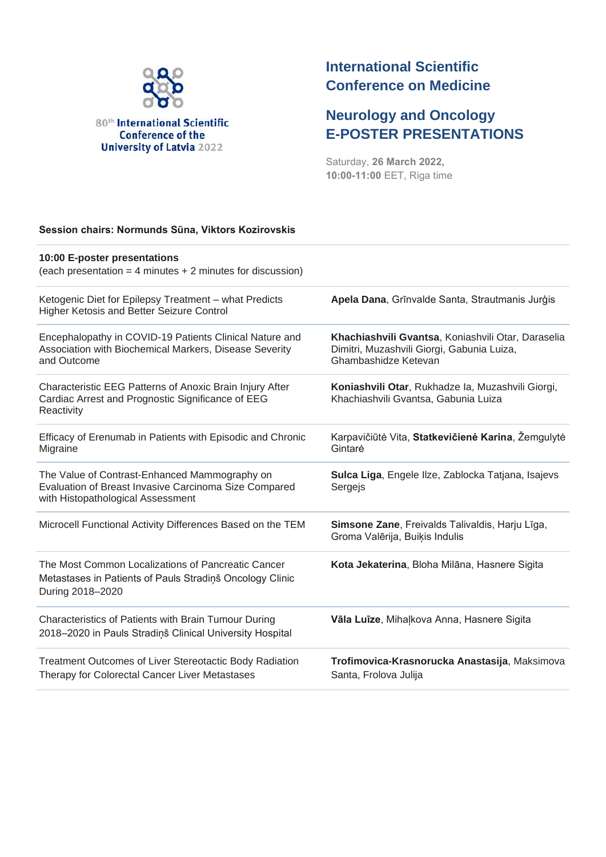

### **Neurology and Oncology E-POSTER PRESENTATIONS**

Saturday, **26 March 2022, 10:00-11:00** EET, Riga time

#### **Session chairs: Normunds Sūna, Viktors Kozirovskis**

| 10:00 E-poster presentations<br>(each presentation = $4$ minutes + $2$ minutes for discussion)                                              |                                                                                                                          |
|---------------------------------------------------------------------------------------------------------------------------------------------|--------------------------------------------------------------------------------------------------------------------------|
| Ketogenic Diet for Epilepsy Treatment - what Predicts<br>Higher Ketosis and Better Seizure Control                                          | Apela Dana, Grīnvalde Santa, Strautmanis Jurģis                                                                          |
| Encephalopathy in COVID-19 Patients Clinical Nature and<br>Association with Biochemical Markers, Disease Severity<br>and Outcome            | Khachiashvili Gvantsa, Koniashvili Otar, Daraselia<br>Dimitri, Muzashvili Giorgi, Gabunia Luiza,<br>Ghambashidze Ketevan |
| Characteristic EEG Patterns of Anoxic Brain Injury After<br>Cardiac Arrest and Prognostic Significance of EEG<br>Reactivity                 | Koniashvili Otar, Rukhadze la, Muzashvili Giorgi,<br>Khachiashvili Gvantsa, Gabunia Luiza                                |
| Efficacy of Erenumab in Patients with Episodic and Chronic<br>Migraine                                                                      | Karpavičiūtė Vita, Statkevičienė Karina, Žemgulytė<br>Gintarė                                                            |
| The Value of Contrast-Enhanced Mammography on<br>Evaluation of Breast Invasive Carcinoma Size Compared<br>with Histopathological Assessment | Sulca Liga, Engele Ilze, Zablocka Tatjana, Isajevs<br>Sergejs                                                            |
| Microcell Functional Activity Differences Based on the TEM                                                                                  | Simsone Zane, Freivalds Talivaldis, Harju Līga,<br>Groma Valērija, Buiķis Indulis                                        |
| The Most Common Localizations of Pancreatic Cancer<br>Metastases in Patients of Pauls Stradinš Oncology Clinic<br>During 2018-2020          | Kota Jekaterina, Bloha Milāna, Hasnere Sigita                                                                            |
| Characteristics of Patients with Brain Tumour During<br>2018-2020 in Pauls Stradinš Clinical University Hospital                            | Vāla Luīze, Mihaļkova Anna, Hasnere Sigita                                                                               |
| Treatment Outcomes of Liver Stereotactic Body Radiation<br>Therapy for Colorectal Cancer Liver Metastases                                   | Trofimovica-Krasnorucka Anastasija, Maksimova<br>Santa, Frolova Julija                                                   |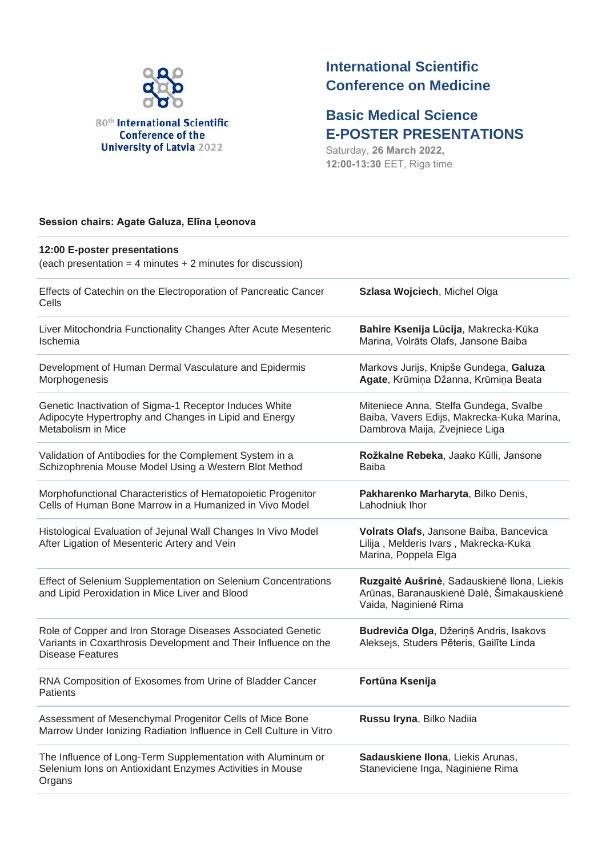

## **Basic Medical Science E-POSTER PRESENTATIONS**

Saturday, **26 March 2022, 12:00-13:30** EET, Riga time

#### **Session chairs: Agate Galuza, Elīna Ļeonova**

| 12:00 E-poster presentations<br>(each presentation = $4$ minutes + $2$ minutes for discussion)                                                            |                                                                                                                        |
|-----------------------------------------------------------------------------------------------------------------------------------------------------------|------------------------------------------------------------------------------------------------------------------------|
| Effects of Catechin on the Electroporation of Pancreatic Cancer<br>Cells                                                                                  | Szlasa Wojciech, Michel Olga                                                                                           |
| Liver Mitochondria Functionality Changes After Acute Mesenteric<br>Ischemia                                                                               | Bahire Ksenija Lūcija, Makrecka-Kūka<br>Marina, Volrāts Olafs, Jansone Baiba                                           |
| Development of Human Dermal Vasculature and Epidermis<br>Morphogenesis                                                                                    | Markovs Jurijs, Knipše Gundega, Galuza<br>Agate, Krūmiņa Džanna, Krūmiņa Beata                                         |
| Genetic Inactivation of Sigma-1 Receptor Induces White<br>Adipocyte Hypertrophy and Changes in Lipid and Energy<br>Metabolism in Mice                     | Miteniece Anna, Stelfa Gundega, Svalbe<br>Baiba, Vavers Edijs, Makrecka-Kuka Marina,<br>Dambrova Maija, Zvejniece Liga |
| Validation of Antibodies for the Complement System in a<br>Schizophrenia Mouse Model Using a Western Blot Method                                          | Rožkalne Rebeka, Jaako Külli, Jansone<br><b>Baiba</b>                                                                  |
| Morphofunctional Characteristics of Hematopoietic Progenitor<br>Cells of Human Bone Marrow in a Humanized in Vivo Model                                   | Pakharenko Marharyta, Bilko Denis,<br>Lahodniuk Ihor                                                                   |
| Histological Evaluation of Jejunal Wall Changes In Vivo Model<br>After Ligation of Mesenteric Artery and Vein                                             | Volrats Olafs, Jansone Baiba, Bancevica<br>Lilija, Melderis Ivars, Makrecka-Kuka<br>Marina, Poppela Elga               |
| Effect of Selenium Supplementation on Selenium Concentrations<br>and Lipid Peroxidation in Mice Liver and Blood                                           | Ruzgaitė Aušrinė, Sadauskienė Ilona, Liekis<br>Arūnas, Baranauskienė Dalė, Šimakauskienė<br>Vaida, Naginienė Rima      |
| Role of Copper and Iron Storage Diseases Associated Genetic<br>Variants in Coxarthrosis Development and Their Influence on the<br><b>Disease Features</b> | Budreviča Olga, Džeriņš Andris, Isakovs<br>Aleksejs, Studers Pēteris, Gailīte Linda                                    |
| RNA Composition of Exosomes from Urine of Bladder Cancer<br>Patients                                                                                      | Fortūna Ksenija                                                                                                        |
| Assessment of Mesenchymal Progenitor Cells of Mice Bone<br>Marrow Under Ionizing Radiation Influence in Cell Culture in Vitro                             | Russu Iryna, Bilko Nadiia                                                                                              |
| The Influence of Long-Term Supplementation with Aluminum or<br>Selenium Ions on Antioxidant Enzymes Activities in Mouse<br>Organs                         | Sadauskiene Ilona, Liekis Arunas,<br>Staneviciene Inga, Naginiene Rima                                                 |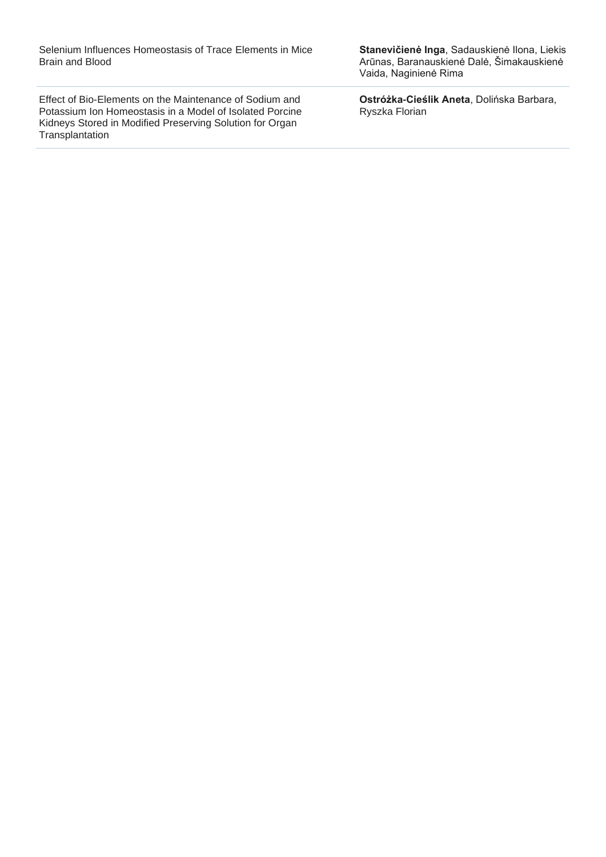Selenium Influences Homeostasis of Trace Elements in Mice Brain and Blood

Effect of Bio-Elements on the Maintenance of Sodium and Potassium Ion Homeostasis in a Model of Isolated Porcine Kidneys Stored in Modified Preserving Solution for Organ **Transplantation** 

**Stanevičienė Inga**, Sadauskienė Ilona, Liekis Arūnas, Baranauskienė Dalė, Šimakauskienė Vaida, Naginienė Rima

**Ostróżka-Cieślik Aneta**, Dolińska Barbara, Ryszka Florian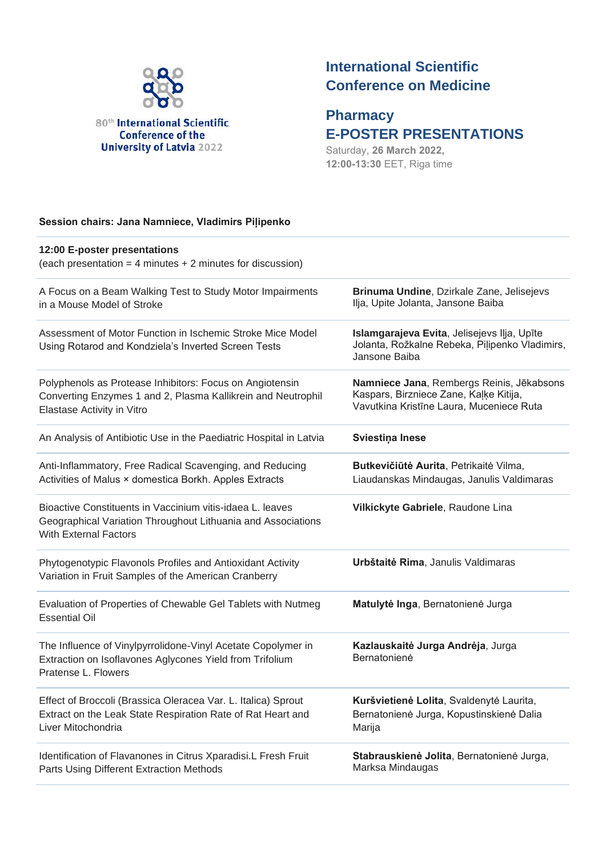

### **Pharmacy E-POSTER PRESENTATIONS**

Saturday, **26 March 2022, 12:00-13:30** EET, Riga time

#### **Session chairs: Jana Namniece, Vladimirs Piļipenko**

| 12:00 E-poster presentations<br>(each presentation = $4$ minutes + $2$ minutes for discussion)                                                            |                                                                                                                                 |
|-----------------------------------------------------------------------------------------------------------------------------------------------------------|---------------------------------------------------------------------------------------------------------------------------------|
| A Focus on a Beam Walking Test to Study Motor Impairments<br>in a Mouse Model of Stroke                                                                   | Brinuma Undine, Dzirkale Zane, Jelisejevs<br>Ilja, Upite Jolanta, Jansone Baiba                                                 |
| Assessment of Motor Function in Ischemic Stroke Mice Model<br>Using Rotarod and Kondziela's Inverted Screen Tests                                         | Islamgarajeva Evita, Jelisejevs Ilja, Upīte<br>Jolanta, Rožkalne Rebeka, Pilipenko Vladimirs,<br>Jansone Baiba                  |
| Polyphenols as Protease Inhibitors: Focus on Angiotensin<br>Converting Enzymes 1 and 2, Plasma Kallikrein and Neutrophil<br>Elastase Activity in Vitro    | Namniece Jana, Rembergs Reinis, Jēkabsons<br>Kaspars, Birzniece Zane, Kaļķe Kitija,<br>Vavutkina Kristīne Laura, Muceniece Ruta |
| An Analysis of Antibiotic Use in the Paediatric Hospital in Latvia                                                                                        | <b>Sviestina Inese</b>                                                                                                          |
| Anti-Inflammatory, Free Radical Scavenging, and Reducing<br>Activities of Malus × domestica Borkh. Apples Extracts                                        | Butkevičiūtė Aurita, Petrikaitė Vilma,<br>Liaudanskas Mindaugas, Janulis Valdimaras                                             |
| Bioactive Constituents in Vaccinium vitis-idaea L. leaves<br>Geographical Variation Throughout Lithuania and Associations<br><b>With External Factors</b> | Vilkickyte Gabriele, Raudone Lina                                                                                               |
| Phytogenotypic Flavonols Profiles and Antioxidant Activity<br>Variation in Fruit Samples of the American Cranberry                                        | Urbštaitė Rima, Janulis Valdimaras                                                                                              |
| Evaluation of Properties of Chewable Gel Tablets with Nutmeg<br><b>Essential Oil</b>                                                                      | Matulytė Inga, Bernatonienė Jurga                                                                                               |
| The Influence of Vinylpyrrolidone-Vinyl Acetate Copolymer in<br>Extraction on Isoflavones Aglycones Yield from Trifolium<br>Pratense L. Flowers           | Kazlauskaitė Jurga Andrėja, Jurga<br>Bernatonienė                                                                               |
| Effect of Broccoli (Brassica Oleracea Var. L. Italica) Sprout<br>Extract on the Leak State Respiration Rate of Rat Heart and<br>Liver Mitochondria        | Kuršvietienė Lolita, Svaldenytė Laurita,<br>Bernatonienė Jurga, Kopustinskienė Dalia<br>Marija                                  |
| Identification of Flavanones in Citrus Xparadisi.L Fresh Fruit<br>Parts Using Different Extraction Methods                                                | Stabrauskienė Jolita, Bernatonienė Jurga,<br>Marksa Mindaugas                                                                   |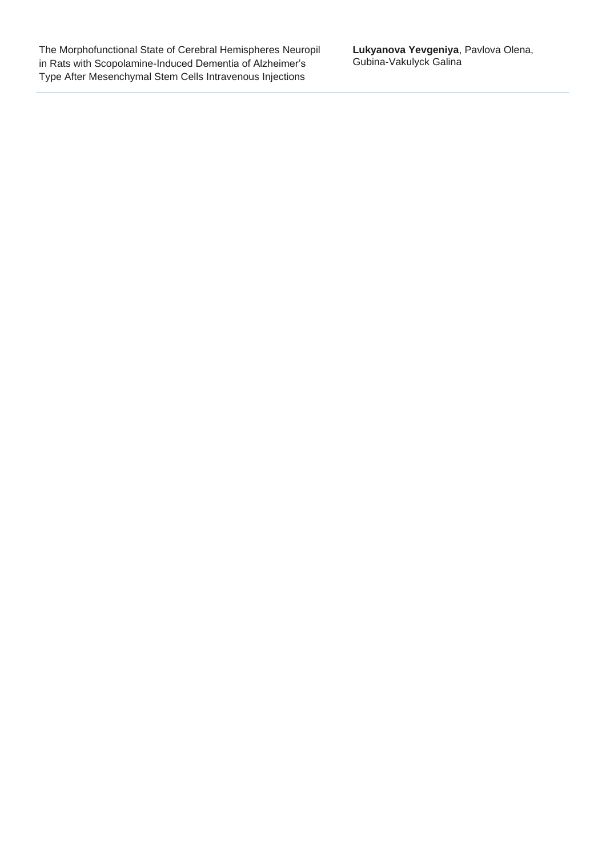The Morphofunctional State of Cerebral Hemispheres Neuropil in Rats with Scopolamine-Induced Dementia of Alzheimer's Type After Mesenchymal Stem Cells Intravenous Injections

**Lukyanova Yevgeniya**, Pavlova Olena, Gubina-Vakulyck Galina